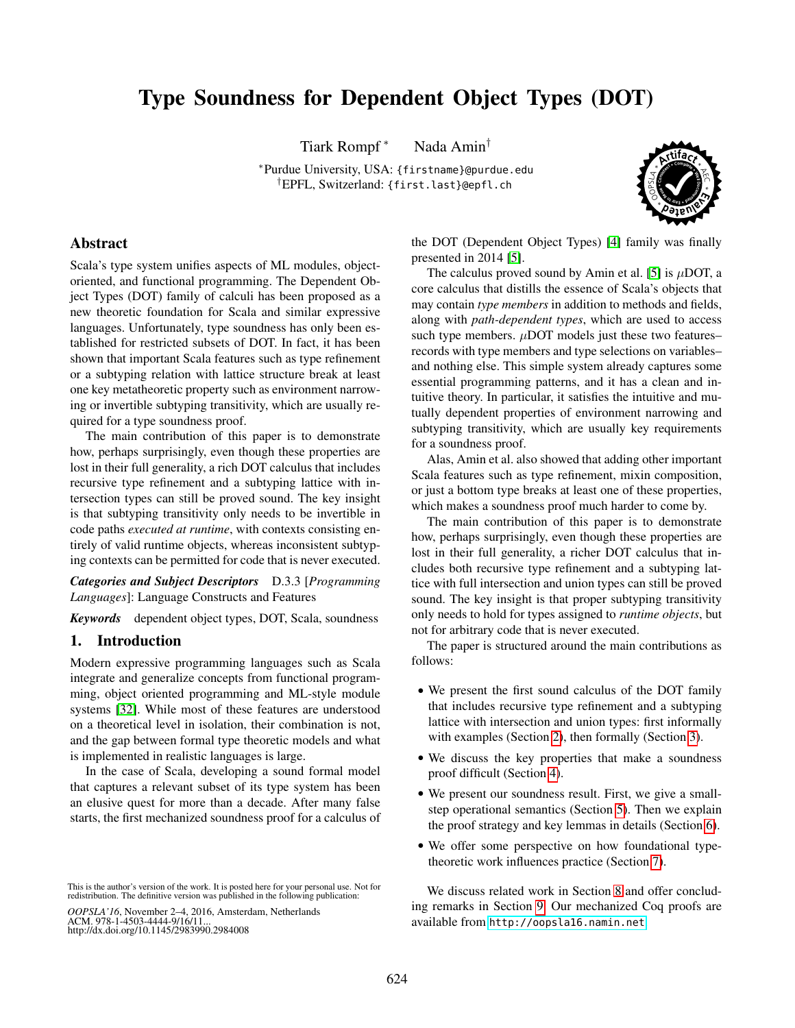# Type Soundness for Dependent Object Types (DOT)

Tiark Rompf<sup>\*</sup> Nada Amin<sup>†</sup>

<sup>∗</sup>Purdue University, USA: {firstname}@purdue.edu †EPFL, Switzerland: {first.last}@epfl.ch



# Abstract

Scala's type system unifies aspects of ML modules, objectoriented, and functional programming. The Dependent Object Types (DOT) family of calculi has been proposed as a new theoretic foundation for Scala and similar expressive languages. Unfortunately, type soundness has only been established for restricted subsets of DOT. In fact, it has been shown that important Scala features such as type refinement or a subtyping relation with lattice structure break at least one key metatheoretic property such as environment narrowing or invertible subtyping transitivity, which are usually required for a type soundness proof.

The main contribution of this paper is to demonstrate how, perhaps surprisingly, even though these properties are lost in their full generality, a rich DOT calculus that includes recursive type refinement and a subtyping lattice with intersection types can still be proved sound. The key insight is that subtyping transitivity only needs to be invertible in code paths *executed at runtime*, with contexts consisting entirely of valid runtime objects, whereas inconsistent subtyping contexts can be permitted for code that is never executed.

*Categories and Subject Descriptors* D.3.3 [*Programming Languages*]: Language Constructs and Features

*Keywords* dependent object types, DOT, Scala, soundness

# 1. Introduction

Modern expressive programming languages such as Scala integrate and generalize concepts from functional programming, object oriented programming and ML-style module systems [\[32\]](#page-15-0). While most of these features are understood on a theoretical level in isolation, their combination is not, and the gap between formal type theoretic models and what is implemented in realistic languages is large.

In the case of Scala, developing a sound formal model that captures a relevant subset of its type system has been an elusive quest for more than a decade. After many false starts, the first mechanized soundness proof for a calculus of

*OOPSLA'16*, November 2–4, 2016, Amsterdam, Netherlands ACM. 978-1-4503-4444-9/16/11... http://dx.doi.org/10.1145/2983990.2984008

the DOT (Dependent Object Types) [\[4\]](#page-15-1) family was finally presented in 2014 [\[5\]](#page-15-2).

The calculus proved sound by Amin et al. [\[5\]](#page-15-2) is  $\mu$ DOT, a core calculus that distills the essence of Scala's objects that may contain *type members* in addition to methods and fields, along with *path-dependent types*, which are used to access such type members.  $\mu$ DOT models just these two features– records with type members and type selections on variables– and nothing else. This simple system already captures some essential programming patterns, and it has a clean and intuitive theory. In particular, it satisfies the intuitive and mutually dependent properties of environment narrowing and subtyping transitivity, which are usually key requirements for a soundness proof.

Alas, Amin et al. also showed that adding other important Scala features such as type refinement, mixin composition, or just a bottom type breaks at least one of these properties, which makes a soundness proof much harder to come by.

The main contribution of this paper is to demonstrate how, perhaps surprisingly, even though these properties are lost in their full generality, a richer DOT calculus that includes both recursive type refinement and a subtyping lattice with full intersection and union types can still be proved sound. The key insight is that proper subtyping transitivity only needs to hold for types assigned to *runtime objects*, but not for arbitrary code that is never executed.

The paper is structured around the main contributions as follows:

- We present the first sound calculus of the DOT family that includes recursive type refinement and a subtyping lattice with intersection and union types: first informally with examples (Section [2\)](#page-0-0), then formally (Section [3\)](#page-3-0).
- We discuss the key properties that make a soundness proof difficult (Section [4\)](#page-5-0).
- We present our soundness result. First, we give a smallstep operational semantics (Section [5\)](#page-7-0). Then we explain the proof strategy and key lemmas in details (Section [6\)](#page-8-0).
- We offer some perspective on how foundational typetheoretic work influences practice (Section [7\)](#page-12-0).

<span id="page-0-0"></span>We discuss related work in Section [8](#page-13-0) and offer concluding remarks in Section [9.](#page-14-0) Our mechanized Coq proofs are available from <http://oopsla16.namin.net>.

This is the author's version of the work. It is posted here for your personal use. Not for redistribution. The definitive version was published in the following publication: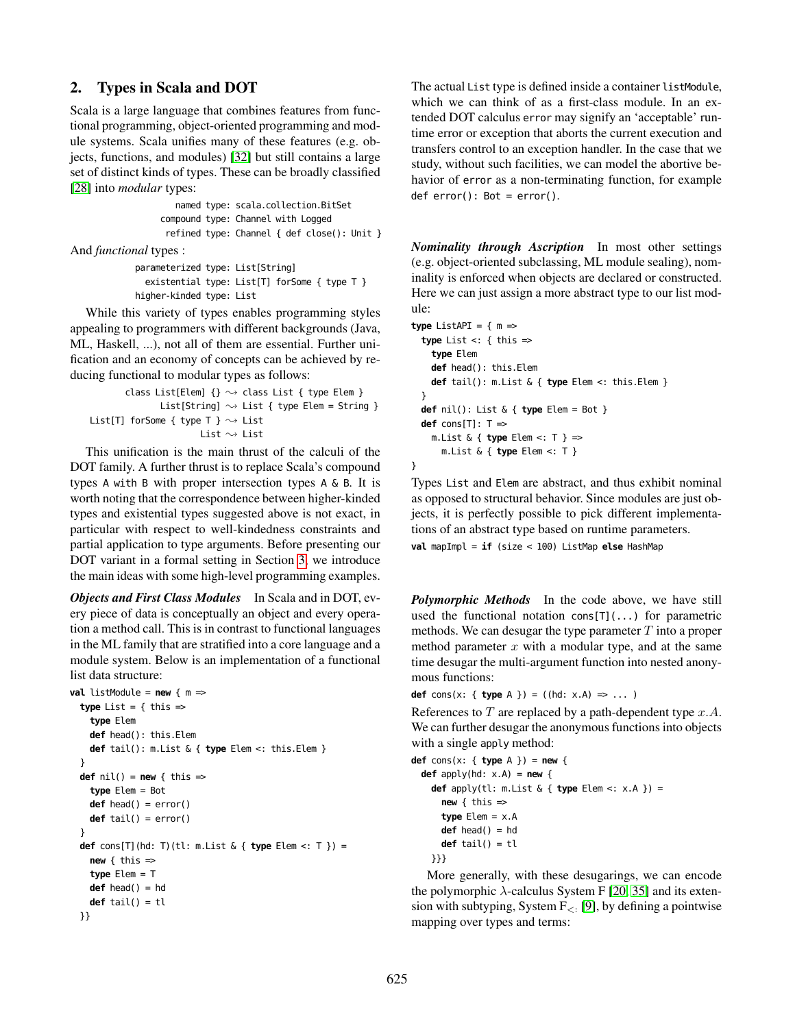# 2. Types in Scala and DOT

Scala is a large language that combines features from functional programming, object-oriented programming and module systems. Scala unifies many of these features (e.g. objects, functions, and modules) [\[32\]](#page-15-0) but still contains a large set of distinct kinds of types. These can be broadly classified [\[28\]](#page-15-3) into *modular* types:

> named type: scala.collection.BitSet compound type: Channel with Logged refined type: Channel { def close(): Unit }

And *functional* types :

```
parameterized type: List[String]
 existential type: List[T] forSome { type T }
higher-kinded type: List
```
While this variety of types enables programming styles appealing to programmers with different backgrounds (Java, ML, Haskell, ...), not all of them are essential. Further unification and an economy of concepts can be achieved by reducing functional to modular types as follows:

```
class List[Elem] \{\} \sim class List { type Elem }
               List[String] \rightsquigarrow List { type Elem = String }
List[T] forSome { type T } \sim List
                         List \sim List
```
This unification is the main thrust of the calculi of the DOT family. A further thrust is to replace Scala's compound types A with B with proper intersection types A & B. It is worth noting that the correspondence between higher-kinded types and existential types suggested above is not exact, in particular with respect to well-kindedness constraints and partial application to type arguments. Before presenting our DOT variant in a formal setting in Section [3,](#page-3-0) we introduce the main ideas with some high-level programming examples.

*Objects and First Class Modules* In Scala and in DOT, every piece of data is conceptually an object and every operation a method call. This is in contrast to functional languages in the ML family that are stratified into a core language and a module system. Below is an implementation of a functional list data structure:

```
val listModule = new \{ m =type List = \{ this =type Elem
    def head(): this.Elem
    def tail(): m.List & { type Elem <: this.Elem }
  }
  def \text{nil}() = \text{new} \{ \text{this} \Rightarrowtype Elem = Bot
    def head() = error()
    def tail() = error()
  }
  def cons[T](hd: T)(tl: m.List & { type Elem <: T }) =
    new \{ this \Rightarrowtype Elem = T
    def head() = hd
    def tail() = tl
  }}
```
The actual List type is defined inside a container listModule, which we can think of as a first-class module. In an extended DOT calculus error may signify an 'acceptable' runtime error or exception that aborts the current execution and transfers control to an exception handler. In the case that we study, without such facilities, we can model the abortive behavior of error as a non-terminating function, for example  $def error(): Bot = error().$ 

*Nominality through Ascription* In most other settings (e.g. object-oriented subclassing, ML module sealing), nominality is enforced when objects are declared or constructed. Here we can just assign a more abstract type to our list module:

```
type ListAPI = \{ m =type List <: { this =>
    type Elem
    def head(): this.Elem
    def tail(): m.List & { type Elem <: this.Elem }
  }
  def nil(): List & { type Elem = Bot }
  def cons[T]: T \Rightarrowm.List & { type Elem <: T } =>
      m.List & { type Elem <: T }
```
}

Types List and Elem are abstract, and thus exhibit nominal as opposed to structural behavior. Since modules are just objects, it is perfectly possible to pick different implementations of an abstract type based on runtime parameters.

**val** mapImpl = **if** (size < 100) ListMap **else** HashMap

*Polymorphic Methods* In the code above, we have still used the functional notation cons $[T](\ldots)$  for parametric methods. We can desugar the type parameter  $T$  into a proper method parameter  $x$  with a modular type, and at the same time desugar the multi-argument function into nested anonymous functions:

**def** cons(x: { **type** A }) = ((hd:  $x.A$ ) => ... )

References to  $T$  are replaced by a path-dependent type  $x.A$ . We can further desugar the anonymous functions into objects with a single apply method:

```
def cons(x: { type A }) = new {
  def apply(hd: x.A) = new {
    def apply(tl: m.List & { type Elem <: x.A }) =
     new \{ this =type Elem = x.A
     def head() = hd
     def tail() = tl
   }}}
```
More generally, with these desugarings, we can encode the polymorphic  $\lambda$ -calculus System F [\[20,](#page-15-4) [35\]](#page-15-5) and its extension with subtyping, System  $F_{\leq}$ : [\[9\]](#page-15-6), by defining a pointwise mapping over types and terms: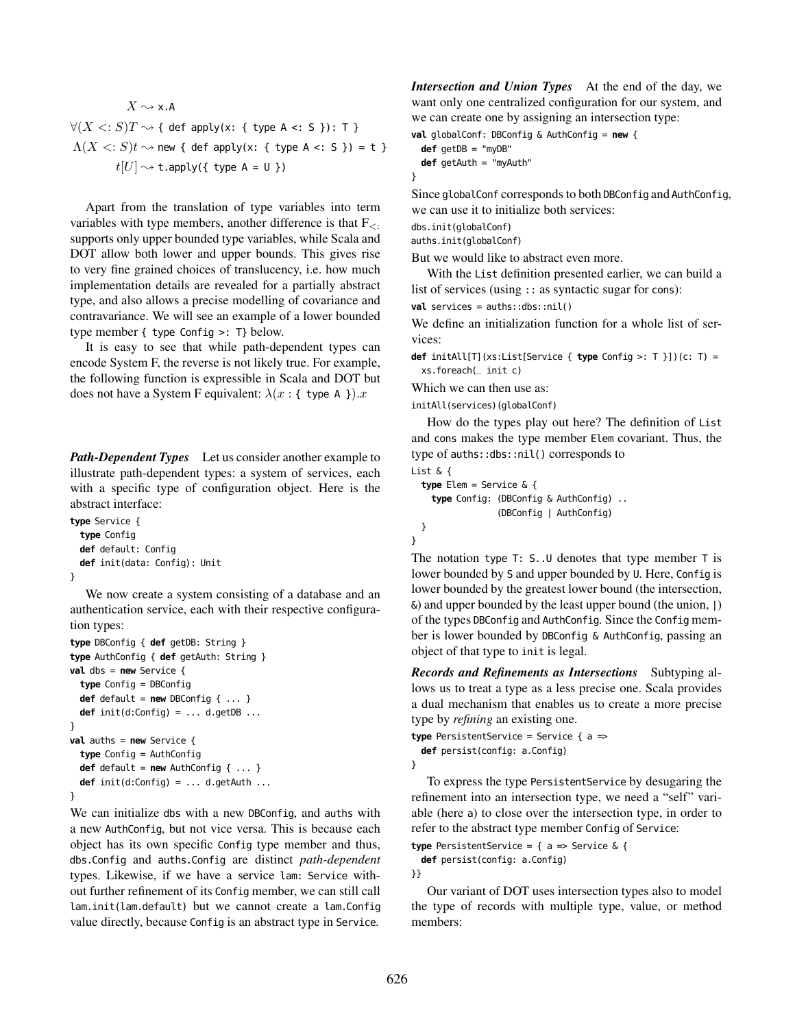$$
X \sim \times A
$$
  
\n
$$
\forall (X \leq: S)T \sim \{ \text{ def apply}(x: \{ \text{ type } A \leq: S \}):\top \}
$$
  
\n
$$
\Lambda(X \leq: S)t \sim \text{new } \{ \text{ def apply}(x: \{ \text{ type } A \leq: S \} ) = t \}
$$
  
\n
$$
t[U] \sim \text{t.apply}(\{ \text{ type } A = U \})
$$

Apart from the translation of type variables into term variables with type members, another difference is that  $F_{\leq}$ . supports only upper bounded type variables, while Scala and DOT allow both lower and upper bounds. This gives rise to very fine grained choices of translucency, i.e. how much implementation details are revealed for a partially abstract type, and also allows a precise modelling of covariance and contravariance. We will see an example of a lower bounded type member { type Config >: T} below.

It is easy to see that while path-dependent types can encode System F, the reverse is not likely true. For example, the following function is expressible in Scala and DOT but does not have a System F equivalent:  $\lambda(x : \{ \text{ type A } \})$ .

*Path-Dependent Types* Let us consider another example to illustrate path-dependent types: a system of services, each with a specific type of configuration object. Here is the abstract interface:

```
type Service {
 type Config
 def default: Config
 def init(data: Config): Unit
}
```
We now create a system consisting of a database and an authentication service, each with their respective configuration types:

```
type DBConfig { def getDB: String }
type AuthConfig { def getAuth: String }
val dbs = new Service {
 type Config = DBConfig
 def default = new DBConfig \{ \ldots \}def init(d:Config) = ... d.getDB ...
}
val auths = new Service {
 type Config = AuthConfig
 def default = new AuthConfig { ... }
 def init(d:Config) = ... d.getAuth ...
}
```
We can initialize dbs with a new DBConfig, and auths with a new AuthConfig, but not vice versa. This is because each object has its own specific Config type member and thus, dbs.Config and auths.Config are distinct *path-dependent* types. Likewise, if we have a service lam: Service without further refinement of its Config member, we can still call lam.init(lam.default) but we cannot create a lam.Config value directly, because Config is an abstract type in Service.

*Intersection and Union Types* At the end of the day, we want only one centralized configuration for our system, and we can create one by assigning an intersection type:

**val** globalConf: DBConfig & AuthConfig = **new** { **def** getDB = "myDB"

```
def getAuth = "myAuth"
```
Since globalConf corresponds to both DBConfig and AuthConfig, we can use it to initialize both services:

dbs.init(globalConf)

}

auths.init(globalConf)

But we would like to abstract even more.

With the List definition presented earlier, we can build a list of services (using :: as syntactic sugar for cons):

**val** services = auths::dbs::nil()

We define an initialization function for a whole list of services:

**def** initAll[T](xs:List[Service { **type** Config >: T }])(c: T) = xs.foreach(\_ init c)

Which we can then use as:

initAll(services)(globalConf)

How do the types play out here? The definition of List and cons makes the type member Elem covariant. Thus, the type of auths::dbs::nil() corresponds to List & {

```
type Elem = Service & {
  type Config: (DBConfig & AuthConfig) ..
               (DBConfig | AuthConfig)
}
```
}

The notation type T: S..U denotes that type member T is lower bounded by S and upper bounded by U. Here, Config is lower bounded by the greatest lower bound (the intersection,  $\&$ ) and upper bounded by the least upper bound (the union, |) of the types DBConfig and AuthConfig. Since the Config member is lower bounded by DBConfig & AuthConfig, passing an object of that type to init is legal.

*Records and Refinements as Intersections* Subtyping allows us to treat a type as a less precise one. Scala provides a dual mechanism that enables us to create a more precise type by *refining* an existing one.

**type** PersistentService = Service { a => **def** persist(config: a.Config) }

To express the type PersistentService by desugaring the refinement into an intersection type, we need a "self" variable (here a) to close over the intersection type, in order to refer to the abstract type member Config of Service:

**type** PersistentService = { a => Service & {

**def** persist(config: a.Config)

}}

Our variant of DOT uses intersection types also to model the type of records with multiple type, value, or method members: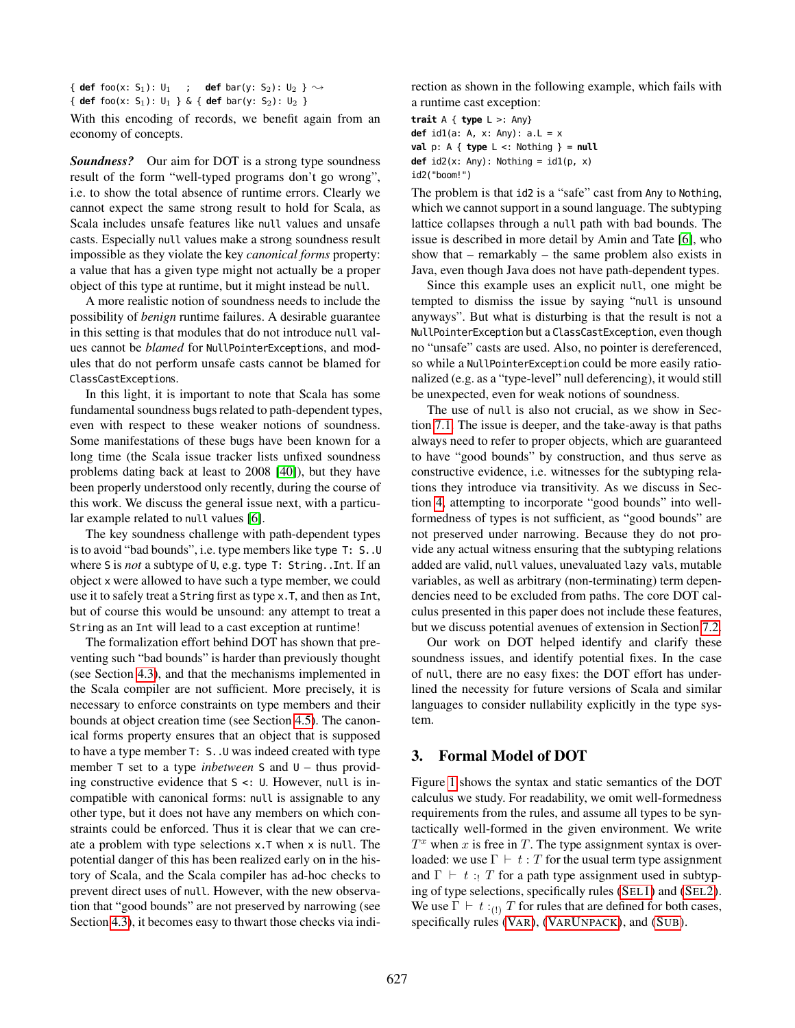{ **def** foo(x: S<sub>1</sub>): U<sub>1</sub> ; **def** bar(y: S<sub>2</sub>): U<sub>2</sub> }  $\sim$ 

{ **def** foo(x: S1): U1 } & { **def** bar(y: S2): U2 }

With this encoding of records, we benefit again from an economy of concepts.

*Soundness?* Our aim for DOT is a strong type soundness result of the form "well-typed programs don't go wrong", i.e. to show the total absence of runtime errors. Clearly we cannot expect the same strong result to hold for Scala, as Scala includes unsafe features like null values and unsafe casts. Especially null values make a strong soundness result impossible as they violate the key *canonical forms* property: a value that has a given type might not actually be a proper object of this type at runtime, but it might instead be null.

A more realistic notion of soundness needs to include the possibility of *benign* runtime failures. A desirable guarantee in this setting is that modules that do not introduce null values cannot be *blamed* for NullPointerExceptions, and modules that do not perform unsafe casts cannot be blamed for ClassCastExceptions.

In this light, it is important to note that Scala has some fundamental soundness bugs related to path-dependent types, even with respect to these weaker notions of soundness. Some manifestations of these bugs have been known for a long time (the Scala issue tracker lists unfixed soundness problems dating back at least to 2008 [\[40\]](#page-15-7)), but they have been properly understood only recently, during the course of this work. We discuss the general issue next, with a particular example related to null values [\[6\]](#page-15-8).

The key soundness challenge with path-dependent types is to avoid "bad bounds", i.e. type members like type T: S..U where S is *not* a subtype of U, e.g. type T: String..Int. If an object x were allowed to have such a type member, we could use it to safely treat a String first as type x.T, and then as Int, but of course this would be unsound: any attempt to treat a String as an Int will lead to a cast exception at runtime!

The formalization effort behind DOT has shown that preventing such "bad bounds" is harder than previously thought (see Section [4.3\)](#page-7-1), and that the mechanisms implemented in the Scala compiler are not sufficient. More precisely, it is necessary to enforce constraints on type members and their bounds at object creation time (see Section [4.5\)](#page-7-2). The canonical forms property ensures that an object that is supposed to have a type member T: S..U was indeed created with type member T set to a type *inbetween* S and U – thus providing constructive evidence that S <: U. However, null is incompatible with canonical forms: null is assignable to any other type, but it does not have any members on which constraints could be enforced. Thus it is clear that we can create a problem with type selections x.T when x is null. The potential danger of this has been realized early on in the history of Scala, and the Scala compiler has ad-hoc checks to prevent direct uses of null. However, with the new observation that "good bounds" are not preserved by narrowing (see Section [4.3\)](#page-7-1), it becomes easy to thwart those checks via indirection as shown in the following example, which fails with a runtime cast exception:

**trait** A { **type** L >: Any} **def** id1(a: A, x: Any): a.L = x **val**  $p: A \{ \text{type } L \leq: \text{Nothing } \} = \text{null}$ **def**  $id2(x: Any): Notining =  $id1(p, x)$$ 

id2("boom!")

The problem is that id2 is a "safe" cast from Any to Nothing, which we cannot support in a sound language. The subtyping lattice collapses through a null path with bad bounds. The issue is described in more detail by Amin and Tate [\[6\]](#page-15-8), who show that – remarkably – the same problem also exists in Java, even though Java does not have path-dependent types.

Since this example uses an explicit null, one might be tempted to dismiss the issue by saying "null is unsound anyways". But what is disturbing is that the result is not a NullPointerException but a ClassCastException, even though no "unsafe" casts are used. Also, no pointer is dereferenced, so while a NullPointerException could be more easily rationalized (e.g. as a "type-level" null deferencing), it would still be unexpected, even for weak notions of soundness.

The use of null is also not crucial, as we show in Section [7.1.](#page-12-1) The issue is deeper, and the take-away is that paths always need to refer to proper objects, which are guaranteed to have "good bounds" by construction, and thus serve as constructive evidence, i.e. witnesses for the subtyping relations they introduce via transitivity. As we discuss in Section [4,](#page-5-0) attempting to incorporate "good bounds" into wellformedness of types is not sufficient, as "good bounds" are not preserved under narrowing. Because they do not provide any actual witness ensuring that the subtyping relations added are valid, null values, unevaluated lazy vals, mutable variables, as well as arbitrary (non-terminating) term dependencies need to be excluded from paths. The core DOT calculus presented in this paper does not include these features, but we discuss potential avenues of extension in Section [7.2.](#page-13-1)

Our work on DOT helped identify and clarify these soundness issues, and identify potential fixes. In the case of null, there are no easy fixes: the DOT effort has underlined the necessity for future versions of Scala and similar languages to consider nullability explicitly in the type system.

# <span id="page-3-0"></span>3. Formal Model of DOT

Figure [1](#page-4-0) shows the syntax and static semantics of the DOT calculus we study. For readability, we omit well-formedness requirements from the rules, and assume all types to be syntactically well-formed in the given environment. We write  $T^x$  when x is free in T. The type assignment syntax is overloaded: we use  $\Gamma \vdash t : T$  for the usual term type assignment and  $\Gamma \vdash t : T$  for a path type assignment used in subtyping of type selections, specifically rules (S[EL](#page-4-1)1) and (S[EL](#page-4-2)2). We use  $\Gamma \vdash t :_{(1)} T$  for rules that are defined for both cases, specifically rules (V[AR](#page-4-3)), (VARU[NPACK](#page-4-4)), and (S[UB](#page-4-5)).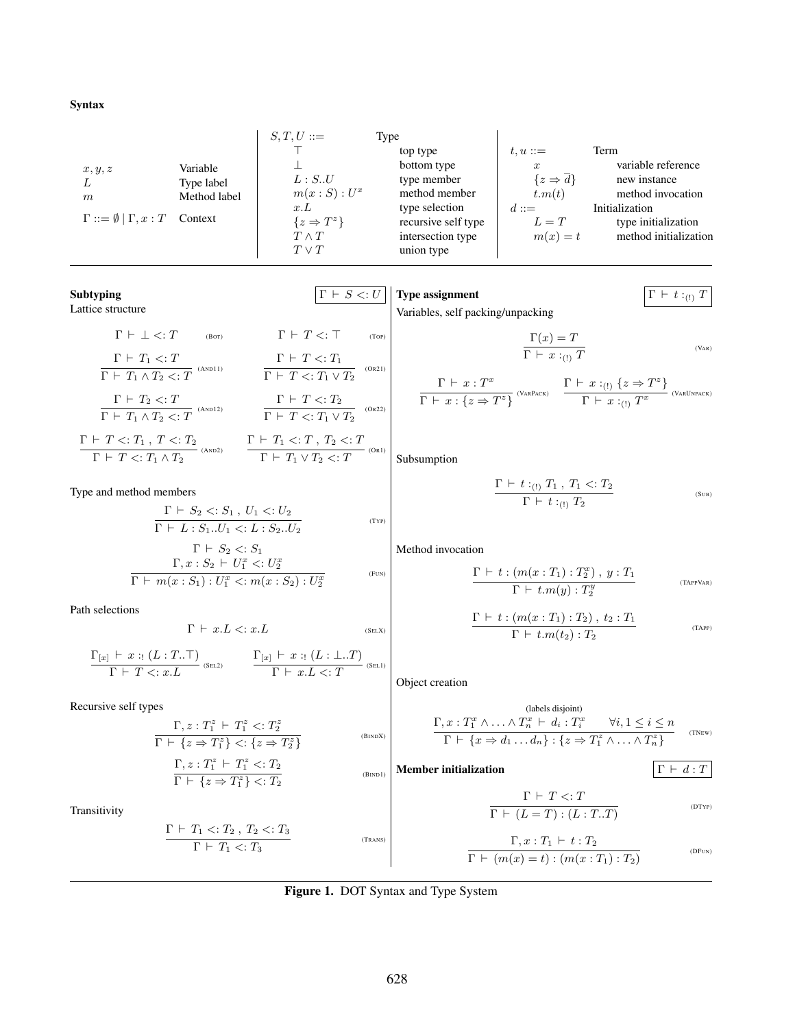#### Syntax

|                                                | $S,T,U ::=$             | Type                |                                   |                       |
|------------------------------------------------|-------------------------|---------------------|-----------------------------------|-----------------------|
|                                                |                         | top type            | $t, u ::=$                        | Term                  |
| Variable<br>x, y, z                            |                         | bottom type         | $\boldsymbol{x}$                  | variable reference    |
| Type label<br>L                                | L : S.U                 | type member         | $\{z \Rightarrow \overline{d}\}\$ | new instance          |
| Method label<br>$\boldsymbol{m}$               | $m(x : S) : U^x$        | method member       | t.m(t)                            | method invocation     |
|                                                | x.L                     | type selection      | $d ::=$                           | Initialization        |
| $\Gamma ::= \emptyset   \Gamma, x : T$ Context | $\{z \Rightarrow T^z\}$ | recursive self type | $L=T$                             | type initialization   |
|                                                | $T \wedge T$            | intersection type   | $m(x) = t$                        | method initialization |
|                                                | $T \vee T$              | union type          |                                   |                       |

<span id="page-4-13"></span><span id="page-4-4"></span><span id="page-4-3"></span>Subtyping  $|\Gamma \vdash S \lt: U|$ Lattice structure  $\Gamma \vdash \bot \lt;: T$  (BOT)  $\Gamma \vdash T_1 \lt: T$  $\overline{\Gamma \ \vdash \ T_1 \land T_2 <: T}$  (and 1)  $\Gamma \vdash T_2 < T$  $\overline{\Gamma \ \vdash \ T_1 \land T_2 <: T}$  (and 12)  $\Gamma \vdash T \lt;: T_1 \ , \ T \lt:: T_2$  $\frac{\Gamma + T \leq T_1, T \leq T_2}{\Gamma + T \leq T_1 \wedge T_2}$  (AND2)  $\frac{\Gamma + T_1 \leq T, T_2 \leq T}{\Gamma + T_1 \vee T_2 \leq T}$  $\Gamma \vdash T<:\top$  $\Gamma \vdash T \lt: T_1$  $\overline{\Gamma \vdash T <: T_1 \vee T_2}$  (Or21)  $\Gamma \vdash T < T_2$  $\overline{\Gamma \ \vdash \ T<: T_1 \lor T_2} \quad ^{\text{(OR22)}}$  $\Gamma \vdash T_1 \vee T_2 < T$ <sup>(Orl)</sup> Type and method members  $\Gamma \vdash S_2 \lt: S_1 \,,\, U_1 \lt: U_2$  $\Gamma \vdash L : S_1..U_1 <: L : S_2..U_2$ (TYP)  $\Gamma \vdash S_2 \lt S S_1$  $\Gamma, x : S_2 \vdash U_1^x <: U_2^x$  $\Gamma \vdash m(x : S_1) : U_1^x < m(x : S_2) : U_2^x$ (FUN) Path selections  $\Gamma \vdash x.L <: x.L$  (SELX)  $\Gamma_{[x]} \vdash x :: (L : T..\top)$  $\frac{\Gamma[x] + x : (L : T .. \top)}{\Gamma \vdash T \mathrel{<} : x.L}$  (Sel2)  $\frac{\Gamma[x] \vdash x : (L : \bot .. T)}{\Gamma \vdash x.L \mathrel{<} : T}$  $\Gamma \vdash x.L <: T$ <sup>(Sel1)</sup> Recursive self types  $\Gamma, z: T_1^z \vdash T_1^z < T_2^z$  $\Gamma \vdash \{z \Rightarrow T_1^z\} \langle z \Rightarrow T_2^z\}$ (BINDX)  $\Gamma, z: T_1^z \vdash T_1^z < T_2$  $\Gamma \vdash \{z \Rightarrow T_1^z\} \lt: T_2$ (BIND1) Transitivity  $\Gamma \vdash T_1 \lt: T_2$ ,  $T_2 \lt: T_3$  $\Gamma \vdash T_1 \lt: T_3$ (TRANS) **Type assignment**  $\Gamma \vdash t :_{(1)} T$ Variables, self packing/unpacking  $\frac{\Gamma(x) = T}{\Gamma \vdash x :_{\text{(1)}} T}$  $\overline{\Gamma \ \vdash \ x :_{(1)} T}$  (Var)  $\Gamma \vdash x : T^x$  $\frac{\Gamma \vdash x : T^x}{\Gamma \vdash x : \{z \Rightarrow T^z\}}$  (VARPACK)  $\frac{\Gamma \vdash x :_{(!)} \{z \Rightarrow T^z\}}{\Gamma \vdash x :_{(!)} T^x}$  $\overline{\Gamma \ \vdash \ x:_{(!)} \ T^x}$  (VarUnpack) Subsumption  $\Gamma \vdash t :_{(!)} T_1, T_1 < T_2$  $\Gamma$   $\vdash t :$ <sub>(!)</sub>  $T_2$ (SUB) Method invocation  $\Gamma \vdash t : (m(x : T_1) : T_2^x), y : T_1$  $\Gamma \vdash t.m(y) : T_2^y$ (TAPPVAR)  $\Gamma \vdash t : (m(x : T_1) : T_2), t_2 : T_1$  $\Gamma \vdash t.m(t_2):T_2$ (TAPP) Object creation (labels disjoint)  $\Gamma, x: T_1^x \wedge \ldots \wedge T_n^x \vdash d_i : T_i^x \quad \forall i, 1 \leq i \leq n$  $\Gamma \vdash \{x \Rightarrow d_1 \dots d_n\} : \{z \Rightarrow T_1^z \land \dots \land T_n^z\}$ (TNEW) **Member initialization**  $\Gamma \vdash d : T$  $\Gamma \vdash T \mathrel{<:} T$  $\Gamma \vdash (L = T) : (L : T . . T)$ (DTYP)  $\Gamma, x : T_1 \vdash t : T_2$  $\Gamma \vdash (m(x) = t) : (m(x : T_1) : T_2)$ (DFUN)

<span id="page-4-15"></span><span id="page-4-14"></span><span id="page-4-12"></span><span id="page-4-11"></span><span id="page-4-10"></span><span id="page-4-9"></span><span id="page-4-8"></span><span id="page-4-7"></span><span id="page-4-6"></span><span id="page-4-5"></span><span id="page-4-2"></span><span id="page-4-1"></span><span id="page-4-0"></span>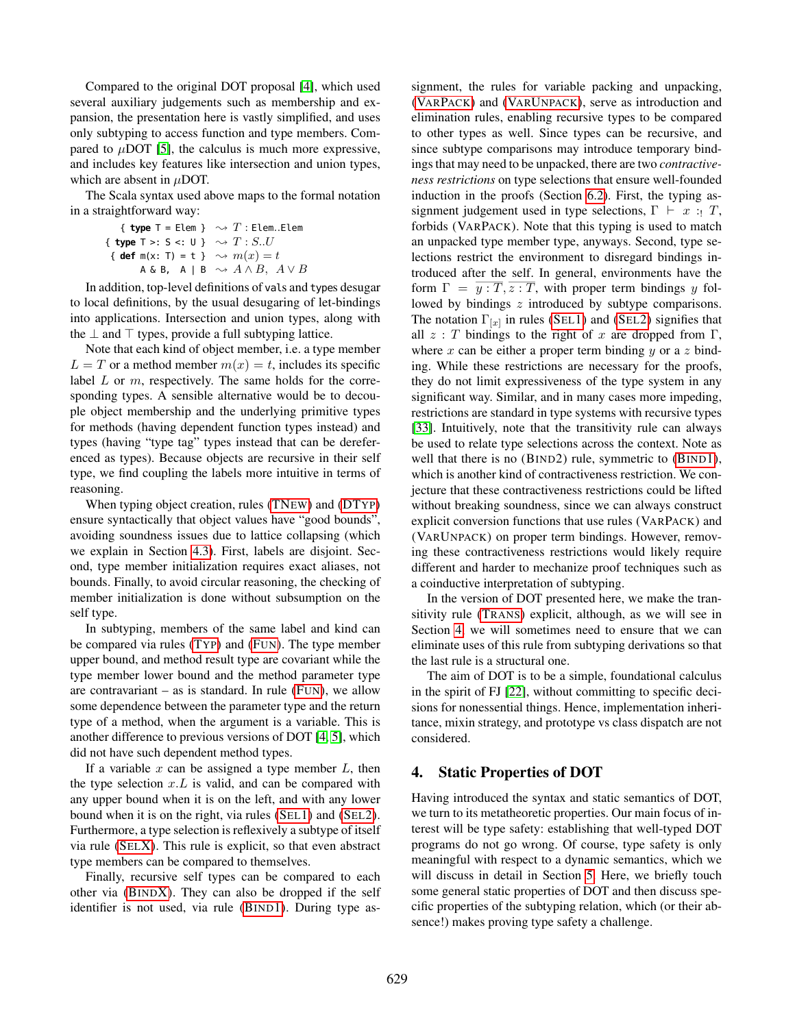Compared to the original DOT proposal [\[4\]](#page-15-1), which used several auxiliary judgements such as membership and expansion, the presentation here is vastly simplified, and uses only subtyping to access function and type members. Compared to  $\mu$ DOT [\[5\]](#page-15-2), the calculus is much more expressive, and includes key features like intersection and union types, which are absent in  $\mu$ DOT.

The Scala syntax used above maps to the formal notation in a straightforward way:

{ type T = Elem } 
$$
\sim T
$$
: Elem. Elem  
{ type T >: S <: U }  $\sim T$ : S.U  
{ def m(x: T) = t }  $\sim m(x) = t$   
A & B, A | B  $\sim A \land B$ ,  $A \lor B$ 

In addition, top-level definitions of vals and types desugar to local definitions, by the usual desugaring of let-bindings into applications. Intersection and union types, along with the  $\perp$  and  $\top$  types, provide a full subtyping lattice.

Note that each kind of object member, i.e. a type member  $L = T$  or a method member  $m(x) = t$ , includes its specific label  $L$  or  $m$ , respectively. The same holds for the corresponding types. A sensible alternative would be to decouple object membership and the underlying primitive types for methods (having dependent function types instead) and types (having "type tag" types instead that can be dereferenced as types). Because objects are recursive in their self type, we find coupling the labels more intuitive in terms of reasoning.

When typing object creation, rules [\(TN](#page-4-6)EW) and [\(DT](#page-4-7)YP) ensure syntactically that object values have "good bounds", avoiding soundness issues due to lattice collapsing (which we explain in Section [4.3\)](#page-7-1). First, labels are disjoint. Second, type member initialization requires exact aliases, not bounds. Finally, to avoid circular reasoning, the checking of member initialization is done without subsumption on the self type.

In subtyping, members of the same label and kind can be compared via rules (T[YP](#page-4-8)) and (F[UN](#page-4-9)). The type member upper bound, and method result type are covariant while the type member lower bound and the method parameter type are contravariant – as is standard. In rule  $(FUN)$  $(FUN)$  $(FUN)$ , we allow some dependence between the parameter type and the return type of a method, when the argument is a variable. This is another difference to previous versions of DOT [\[4,](#page-15-1) [5\]](#page-15-2), which did not have such dependent method types.

If a variable  $x$  can be assigned a type member  $L$ , then the type selection  $x.L$  is valid, and can be compared with any upper bound when it is on the left, and with any lower bound when it is on the right, via rules (S[EL](#page-4-1)1) and (S[EL](#page-4-2)2). Furthermore, a type selection is reflexively a subtype of itself via rule (SEL[X\)](#page-4-10). This rule is explicit, so that even abstract type members can be compared to themselves.

Finally, recursive self types can be compared to each other via (B[IND](#page-4-11)X). They can also be dropped if the self identifier is not used, via rule (B[IND](#page-4-12)1). During type as-

signment, the rules for variable packing and unpacking, (VARP[ACK](#page-4-13)) and (VARU[NPACK](#page-4-4)), serve as introduction and elimination rules, enabling recursive types to be compared to other types as well. Since types can be recursive, and since subtype comparisons may introduce temporary bindings that may need to be unpacked, there are two *contractiveness restrictions* on type selections that ensure well-founded induction in the proofs (Section [6.2\)](#page-9-0). First, the typing assignment judgement used in type selections,  $\Gamma \vdash x : T$ , forbids (VARPACK). Note that this typing is used to match an unpacked type member type, anyways. Second, type selections restrict the environment to disregard bindings introduced after the self. In general, environments have the form  $\Gamma = y : T, z : T$ , with proper term bindings y followed by bindings z introduced by subtype comparisons. The notation  $\Gamma_{[x]}$  in rules (S[EL](#page-4-2)1) and (SEL2) signifies that all  $z : T$  bindings to the right of x are dropped from  $\Gamma$ , where  $x$  can be either a proper term binding  $y$  or a  $z$  binding. While these restrictions are necessary for the proofs, they do not limit expressiveness of the type system in any significant way. Similar, and in many cases more impeding, restrictions are standard in type systems with recursive types [\[33\]](#page-15-9). Intuitively, note that the transitivity rule can always be used to relate type selections across the context. Note as well that there is no (BIND2) rule, symmetric to (B[IND](#page-4-12)1), which is another kind of contractiveness restriction. We conjecture that these contractiveness restrictions could be lifted without breaking soundness, since we can always construct explicit conversion functions that use rules (VARPACK) and (VARUNPACK) on proper term bindings. However, removing these contractiveness restrictions would likely require different and harder to mechanize proof techniques such as a coinductive interpretation of subtyping.

In the version of DOT presented here, we make the transitivity rule (T[RANS](#page-4-14)) explicit, although, as we will see in Section [4,](#page-5-0) we will sometimes need to ensure that we can eliminate uses of this rule from subtyping derivations so that the last rule is a structural one.

The aim of DOT is to be a simple, foundational calculus in the spirit of FJ [\[22\]](#page-15-10), without committing to specific decisions for nonessential things. Hence, implementation inheritance, mixin strategy, and prototype vs class dispatch are not considered.

# <span id="page-5-0"></span>4. Static Properties of DOT

Having introduced the syntax and static semantics of DOT, we turn to its metatheoretic properties. Our main focus of interest will be type safety: establishing that well-typed DOT programs do not go wrong. Of course, type safety is only meaningful with respect to a dynamic semantics, which we will discuss in detail in Section [5.](#page-7-0) Here, we briefly touch some general static properties of DOT and then discuss specific properties of the subtyping relation, which (or their absence!) makes proving type safety a challenge.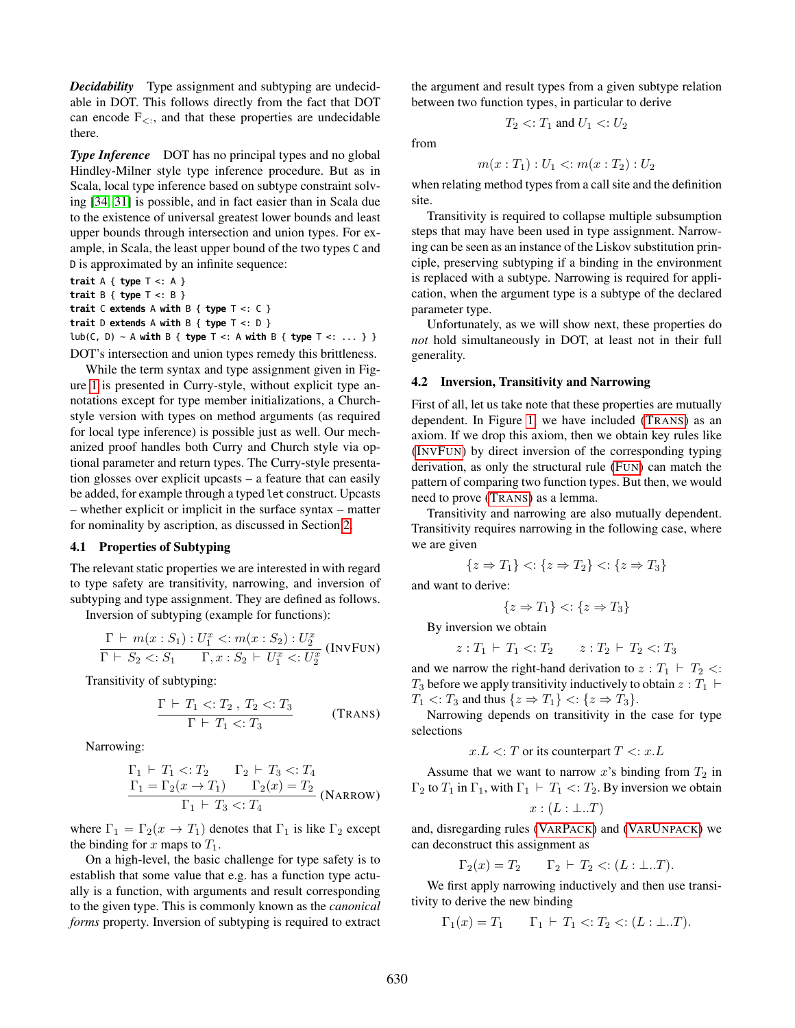*Decidability* Type assignment and subtyping are undecidable in DOT. This follows directly from the fact that DOT can encode  $F_{\leq}$ , and that these properties are undecidable there.

**Type Inference** DOT has no principal types and no global Hindley-Milner style type inference procedure. But as in Scala, local type inference based on subtype constraint solving [\[34,](#page-15-11) [31\]](#page-15-12) is possible, and in fact easier than in Scala due to the existence of universal greatest lower bounds and least upper bounds through intersection and union types. For example, in Scala, the least upper bound of the two types C and D is approximated by an infinite sequence:

**trait** A { **type** T <: A } **trait** B { **type** T <: B } **trait** C **extends** A **with** B { **type** T <: C } **trait** D **extends** A **with** B { **type** T <: D } lub(C, D) ~ A **with** B { **type** T <: A **with** B { **type** T <: ... } } DOT's intersection and union types remedy this brittleness.

While the term syntax and type assignment given in Figure [1](#page-4-0) is presented in Curry-style, without explicit type annotations except for type member initializations, a Churchstyle version with types on method arguments (as required for local type inference) is possible just as well. Our mechanized proof handles both Curry and Church style via optional parameter and return types. The Curry-style presentation glosses over explicit upcasts – a feature that can easily be added, for example through a typed let construct. Upcasts – whether explicit or implicit in the surface syntax – matter for nominality by ascription, as discussed in Section [2.](#page-0-0)

#### 4.1 Properties of Subtyping

The relevant static properties we are interested in with regard to type safety are transitivity, narrowing, and inversion of subtyping and type assignment. They are defined as follows.

Inversion of subtyping (example for functions): x

$$
\frac{\Gamma \vdash m(x : S_1) : U_1^x <: m(x : S_2) : U_2^x}{\Gamma \vdash S_2 <: S_1 \quad \Gamma, x : S_2 \vdash U_1^x <: U_2^x} \text{ (INV}\text{Fun}
$$

Transitivity of subtyping:

$$
\frac{\Gamma \vdash T_1 <: T_2 \cdot T_2 <: T_3}{\Gamma \vdash T_1 <: T_3} \tag{Trans}
$$

Narrowing:

$$
\frac{\Gamma_1 \vdash T_1 <: T_2 \qquad \Gamma_2 \vdash T_3 <: T_4}{\Gamma_1 = \Gamma_2(x \to T_1) \qquad \Gamma_2(x) = T_2}
$$
\n
$$
\frac{\Gamma_1 \vdash T_3 <: T_4}{\Gamma_1 \vdash T_3 <: T_4} \text{ (NARROW)}
$$

where  $\Gamma_1 = \Gamma_2(x \to T_1)$  denotes that  $\Gamma_1$  is like  $\Gamma_2$  except the binding for x maps to  $T_1$ .

On a high-level, the basic challenge for type safety is to establish that some value that e.g. has a function type actually is a function, with arguments and result corresponding to the given type. This is commonly known as the *canonical forms* property. Inversion of subtyping is required to extract the argument and result types from a given subtype relation between two function types, in particular to derive

$$
T_2 < T_1
$$
 and  $U_1 < U_2$ 

from

$$
m(x: T_1): U_1 \le m(x: T_2): U_2
$$

when relating method types from a call site and the definition site.

Transitivity is required to collapse multiple subsumption steps that may have been used in type assignment. Narrowing can be seen as an instance of the Liskov substitution principle, preserving subtyping if a binding in the environment is replaced with a subtype. Narrowing is required for application, when the argument type is a subtype of the declared parameter type.

Unfortunately, as we will show next, these properties do *not* hold simultaneously in DOT, at least not in their full generality.

#### 4.2 Inversion, Transitivity and Narrowing

First of all, let us take note that these properties are mutually dependent. In Figure [1,](#page-4-0) we have included (T[RANS](#page-4-14)) as an axiom. If we drop this axiom, then we obtain key rules like (I[NV](#page-6-0)FUN) by direct inversion of the corresponding typing derivation, as only the structural rule (F[UN](#page-4-9)) can match the pattern of comparing two function types. But then, we would need to prove (T[RANS](#page-4-14)) as a lemma.

Transitivity and narrowing are also mutually dependent. Transitivity requires narrowing in the following case, where we are given

$$
\{z \Rightarrow T_1\} < : \{z \Rightarrow T_2\} < : \{z \Rightarrow T_3\}
$$

and want to derive:

$$
\{z \Rightarrow T_1\} < : \{z \Rightarrow T_3\}
$$

By inversion we obtain

$$
z: T_1 \vdash T_1 < T_2 \qquad z: T_2 \vdash T_2 < T_3
$$

<span id="page-6-0"></span>and we narrow the right-hand derivation to  $z : T_1 \vdash T_2 \leq$ :  $T_3$  before we apply transitivity inductively to obtain  $z : T_1 \vdash$  $T_1$  <:  $T_3$  and thus  $\{z \Rightarrow T_1\}$  <:  $\{z \Rightarrow T_3\}$ .

Narrowing depends on transitivity in the case for type selections

 $x.L \leq T$  or its counterpart  $T \leq x.L$ 

Assume that we want to narrow x's binding from  $T_2$  in  $\Gamma_2$  to  $T_1$  in  $\Gamma_1$ , with  $\Gamma_1 \vdash T_1 \prec T_2$ . By inversion we obtain

$$
x:(L:\bot..T)
$$

and, disregarding rules (VARP[ACK](#page-4-13)) and (VARU[NPACK](#page-4-4)) we can deconstruct this assignment as

$$
\Gamma_2(x) = T_2 \qquad \Gamma_2 \vdash T_2 \lt: (L : \bot .. T).
$$

We first apply narrowing inductively and then use transitivity to derive the new binding

$$
\Gamma_1(x) = T_1 \qquad \Gamma_1 \vdash T_1 \langle T_2 \langle T_1 \rangle \cdot (L : \bot \cdot \cdot \cdot T).
$$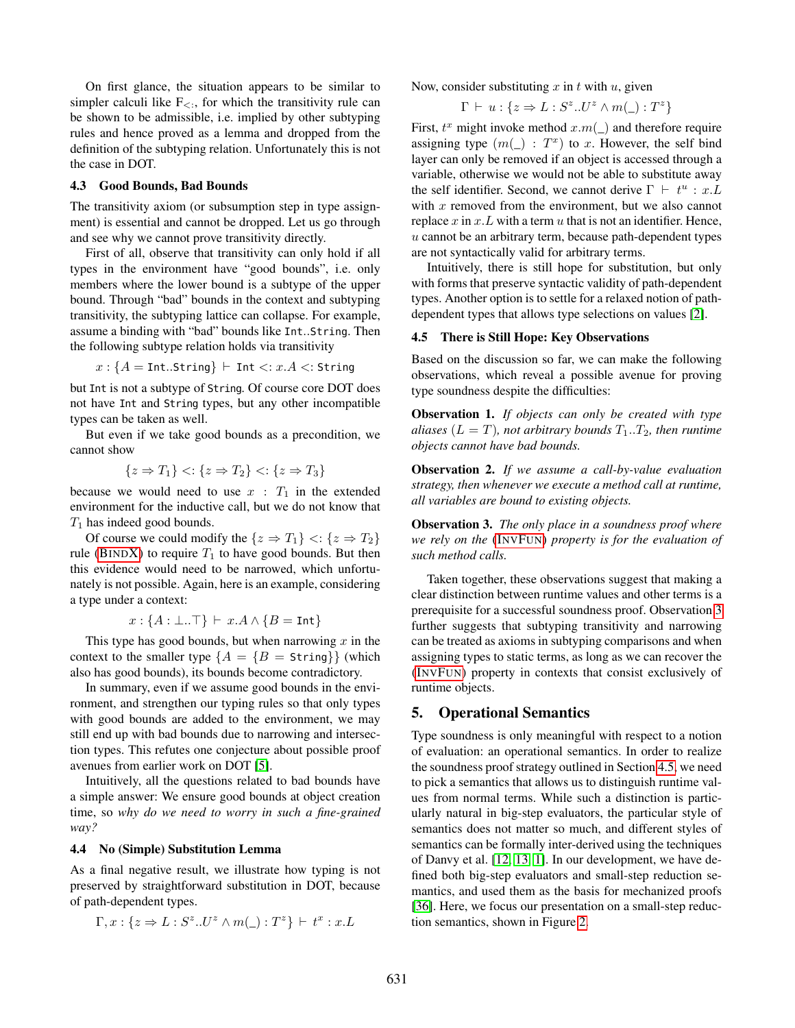On first glance, the situation appears to be similar to simpler calculi like  $F_{\leq}$ , for which the transitivity rule can be shown to be admissible, i.e. implied by other subtyping rules and hence proved as a lemma and dropped from the definition of the subtyping relation. Unfortunately this is not the case in DOT.

### <span id="page-7-1"></span>4.3 Good Bounds, Bad Bounds

The transitivity axiom (or subsumption step in type assignment) is essential and cannot be dropped. Let us go through and see why we cannot prove transitivity directly.

First of all, observe that transitivity can only hold if all types in the environment have "good bounds", i.e. only members where the lower bound is a subtype of the upper bound. Through "bad" bounds in the context and subtyping transitivity, the subtyping lattice can collapse. For example, assume a binding with "bad" bounds like Int..String. Then the following subtype relation holds via transitivity

$$
x: \{A = \text{{Int.String}}\} \vdash \text{{Int}} <: x.A <: \text{{String}}
$$

but Int is not a subtype of String. Of course core DOT does not have Int and String types, but any other incompatible types can be taken as well.

But even if we take good bounds as a precondition, we cannot show

$$
\{z \Rightarrow T_1\} < : \{z \Rightarrow T_2\} < : \{z \Rightarrow T_3\}
$$

because we would need to use  $x : T_1$  in the extended environment for the inductive call, but we do not know that  $T_1$  has indeed good bounds.

Of course we could modify the  $\{z \Rightarrow T_1\} \leq \{z \Rightarrow T_2\}$ rule (B[IND](#page-4-11)X) to require  $T_1$  to have good bounds. But then this evidence would need to be narrowed, which unfortunately is not possible. Again, here is an example, considering a type under a context:

$$
x: \{A: \bot..\top\} \vdash x.A \land \{B = \text{Int}\}\
$$

This type has good bounds, but when narrowing  $x$  in the context to the smaller type  ${A = \{B = \text{String}\}}$  (which also has good bounds), its bounds become contradictory.

In summary, even if we assume good bounds in the environment, and strengthen our typing rules so that only types with good bounds are added to the environment, we may still end up with bad bounds due to narrowing and intersection types. This refutes one conjecture about possible proof avenues from earlier work on DOT [\[5\]](#page-15-2).

Intuitively, all the questions related to bad bounds have a simple answer: We ensure good bounds at object creation time, so *why do we need to worry in such a fine-grained way?*

#### 4.4 No (Simple) Substitution Lemma

As a final negative result, we illustrate how typing is not preserved by straightforward substitution in DOT, because of path-dependent types.

$$
\Gamma, x: \{z \Rightarrow L: S^z \cdot U^z \wedge m(\_): T^z\} \vdash t^x : x.L
$$

Now, consider substituting  $x$  in  $t$  with  $u$ , given

$$
\Gamma \vdash u : \{ z \Rightarrow L : S^z \dots U^z \land m(\_) : T^z \}
$$

First,  $t^x$  might invoke method  $x.m(\_)$  and therefore require assigning type  $(m(\_): T^x)$  to x. However, the self bind layer can only be removed if an object is accessed through a variable, otherwise we would not be able to substitute away the self identifier. Second, we cannot derive  $\Gamma \vdash t^u : x.L$ with  $x$  removed from the environment, but we also cannot replace  $x$  in  $x$ .  $L$  with a term  $u$  that is not an identifier. Hence,  $u$  cannot be an arbitrary term, because path-dependent types are not syntactically valid for arbitrary terms.

Intuitively, there is still hope for substitution, but only with forms that preserve syntactic validity of path-dependent types. Another option is to settle for a relaxed notion of pathdependent types that allows type selections on values [\[2\]](#page-15-13).

#### <span id="page-7-2"></span>4.5 There is Still Hope: Key Observations

Based on the discussion so far, we can make the following observations, which reveal a possible avenue for proving type soundness despite the difficulties:

Observation 1. *If objects can only be created with type aliases* ( $L = T$ )*, not arbitrary bounds*  $T_1 \cdot T_2$ *, then runtime objects cannot have bad bounds.*

Observation 2. *If we assume a call-by-value evaluation strategy, then whenever we execute a method call at runtime, all variables are bound to existing objects.*

<span id="page-7-3"></span>Observation 3. *The only place in a soundness proof where we rely on the* (I[NV](#page-6-0)FUN) *property is for the evaluation of such method calls.*

Taken together, these observations suggest that making a clear distinction between runtime values and other terms is a prerequisite for a successful soundness proof. Observation [3](#page-7-3) further suggests that subtyping transitivity and narrowing can be treated as axioms in subtyping comparisons and when assigning types to static terms, as long as we can recover the (I[NV](#page-6-0)FUN) property in contexts that consist exclusively of runtime objects.

# <span id="page-7-0"></span>5. Operational Semantics

Type soundness is only meaningful with respect to a notion of evaluation: an operational semantics. In order to realize the soundness proof strategy outlined in Section [4.5,](#page-7-2) we need to pick a semantics that allows us to distinguish runtime values from normal terms. While such a distinction is particularly natural in big-step evaluators, the particular style of semantics does not matter so much, and different styles of semantics can be formally inter-derived using the techniques of Danvy et al. [\[12,](#page-15-14) [13,](#page-15-15) [1\]](#page-15-16). In our development, we have defined both big-step evaluators and small-step reduction semantics, and used them as the basis for mechanized proofs [\[36\]](#page-15-17). Here, we focus our presentation on a small-step reduction semantics, shown in Figure [2.](#page-8-1)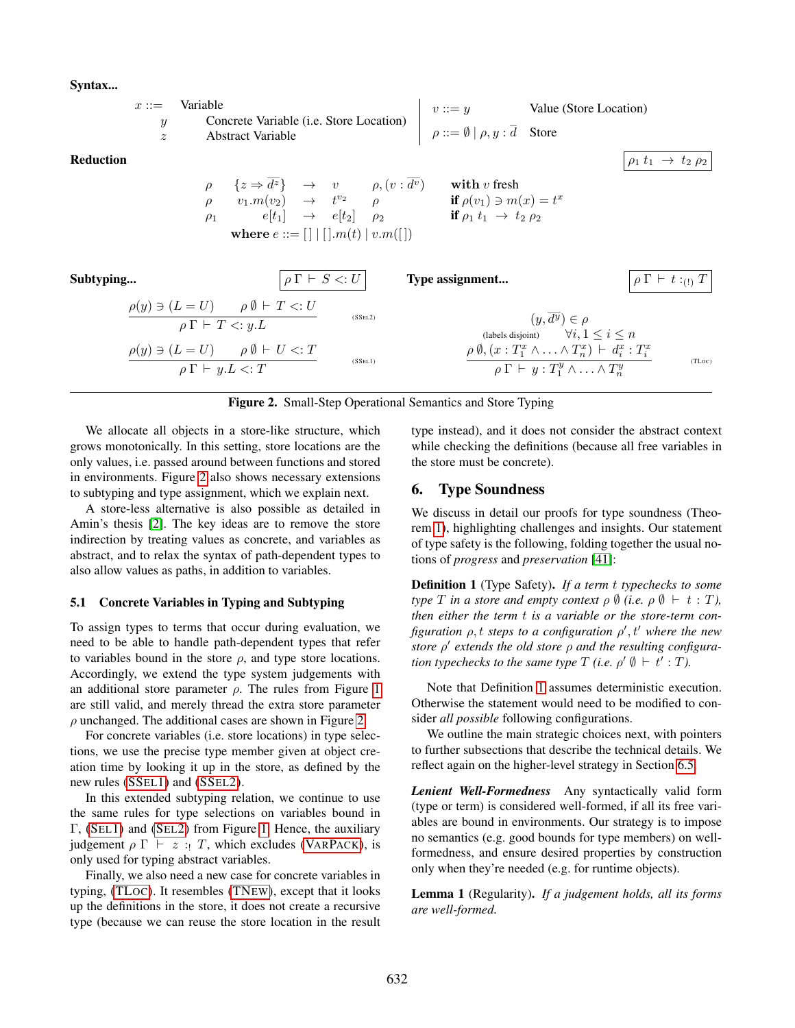### Syntax...

|           | $x ::=$<br>$\boldsymbol{y}$<br>$\tilde{z}$ | Variable                        | Concrete Variable (i.e. Store Location)<br><b>Abstract Variable</b>                                                                                               |                               |                    | <i>v</i> ::= <i>y</i> Value (Store Location)<br>$\rho ::= \emptyset   \rho, y : \overline{d}$ Store                                                                                                                                                                                                                                           |                                                                                                                                                                                                                            |                                     |
|-----------|--------------------------------------------|---------------------------------|-------------------------------------------------------------------------------------------------------------------------------------------------------------------|-------------------------------|--------------------|-----------------------------------------------------------------------------------------------------------------------------------------------------------------------------------------------------------------------------------------------------------------------------------------------------------------------------------------------|----------------------------------------------------------------------------------------------------------------------------------------------------------------------------------------------------------------------------|-------------------------------------|
| Reduction |                                            |                                 | where $e ::= [ ]   [ ].m(t)   v.m([ ] )$                                                                                                                          |                               |                    | $\begin{array}{llll} \rho & \{z\Rightarrow \overline{d^z}\} & \rightarrow & v & \rho, (v:\overline{d^v}) & \mbox{with } v \mbox{ fresh} \\ \rho & v_1.m(v_2) & \rightarrow & t^{v_2} & \rho & \mbox{if } \rho(v_1)\ni m(x)=t^x \\ \rho_1 & e[t_1] & \rightarrow & e[t_2] & \rho_2 & \mbox{if } \rho_1~t_1~\rightarrow~t_2~\rho_2 \end{array}$ |                                                                                                                                                                                                                            | $\rho_1 t_1 \rightarrow t_2 \rho_2$ |
| Subtyping |                                            |                                 |                                                                                                                                                                   | $\rho \Gamma \vdash S \lt: U$ |                    | Type assignment                                                                                                                                                                                                                                                                                                                               |                                                                                                                                                                                                                            | $\rho \Gamma \vdash t :_{(!)} T$    |
|           |                                            | $\rho \Gamma \vdash T \leq u.L$ | $\rho(y) \ni (L = U) \qquad \rho \emptyset \vdash T \leq: U$<br>$\frac{\rho(y) \ni (L = U) \qquad \rho \emptyset \vdash U \lt: T}{\rho \Gamma \vdash y.L \lt: T}$ |                               | (SSEL2)<br>(SSEL1) |                                                                                                                                                                                                                                                                                                                                               | $(y,\overline{d^y})\in\rho$<br>(labels disjoint) $\forall i, 1 \leq i \leq n$<br>$\rho \emptyset, (x: T_1^x \wedge \ldots \wedge T_n^x) \vdash d_i^x : T_i^x$<br>$\rho \Gamma \vdash y : T_1^y \wedge \ldots \wedge T_n^y$ | (TLoc)                              |

#### <span id="page-8-1"></span>Figure 2. Small-Step Operational Semantics and Store Typing

We allocate all objects in a store-like structure, which grows monotonically. In this setting, store locations are the only values, i.e. passed around between functions and stored in environments. Figure [2](#page-8-1) also shows necessary extensions to subtyping and type assignment, which we explain next.

A store-less alternative is also possible as detailed in Amin's thesis [\[2\]](#page-15-13). The key ideas are to remove the store indirection by treating values as concrete, and variables as abstract, and to relax the syntax of path-dependent types to also allow values as paths, in addition to variables.

#### 5.1 Concrete Variables in Typing and Subtyping

To assign types to terms that occur during evaluation, we need to be able to handle path-dependent types that refer to variables bound in the store  $\rho$ , and type store locations. Accordingly, we extend the type system judgements with an additional store parameter  $\rho$ . The rules from Figure [1](#page-4-0) are still valid, and merely thread the extra store parameter  $\rho$  unchanged. The additional cases are shown in Figure [2.](#page-8-1)

For concrete variables (i.e. store locations) in type selections, we use the precise type member given at object creation time by looking it up in the store, as defined by the new rules [\(SS](#page-8-2)EL1) and [\(SS](#page-8-3)EL2).

In this extended subtyping relation, we continue to use the same rules for type selections on variables bound in Γ, (S[EL](#page-4-1)1) and (S[EL](#page-4-2)2) from Figure [1.](#page-4-0) Hence, the auxiliary judgement  $\rho \Gamma \vdash z :: T$ , which excludes (VARP[ACK](#page-4-13)), is only used for typing abstract variables.

Finally, we also need a new case for concrete variables in typing, [\(TL](#page-8-4)OC). It resembles [\(TN](#page-4-6)EW), except that it looks up the definitions in the store, it does not create a recursive type (because we can reuse the store location in the result <span id="page-8-4"></span><span id="page-8-3"></span><span id="page-8-2"></span>type instead), and it does not consider the abstract context while checking the definitions (because all free variables in the store must be concrete).

### <span id="page-8-0"></span>6. Type Soundness

We discuss in detail our proofs for type soundness (Theorem [1\)](#page-11-0), highlighting challenges and insights. Our statement of type safety is the following, folding together the usual notions of *progress* and *preservation* [\[41\]](#page-15-18):

<span id="page-8-5"></span>Definition 1 (Type Safety). *If a term* t *typechecks to some type*  $T$  *in a store and empty context*  $\rho \emptyset$  *(i.e.*  $\rho \emptyset \vdash t : T$ *)*, *then either the term* t *is a variable or the store-term configuration* ρ, t *steps to a configuration* ρ ′ , t′ *where the new store* ρ ′ *extends the old store* ρ *and the resulting configuration typechecks to the same type*  $T$  *(i.e.*  $\rho' \emptyset \vdash t' : T$ ).

Note that Definition [1](#page-8-5) assumes deterministic execution. Otherwise the statement would need to be modified to consider *all possible* following configurations.

We outline the main strategic choices next, with pointers to further subsections that describe the technical details. We reflect again on the higher-level strategy in Section [6.5.](#page-11-1)

*Lenient Well-Formedness* Any syntactically valid form (type or term) is considered well-formed, if all its free variables are bound in environments. Our strategy is to impose no semantics (e.g. good bounds for type members) on wellformedness, and ensure desired properties by construction only when they're needed (e.g. for runtime objects).

<span id="page-8-7"></span><span id="page-8-6"></span>Lemma 1 (Regularity). *If a judgement holds, all its forms are well-formed.*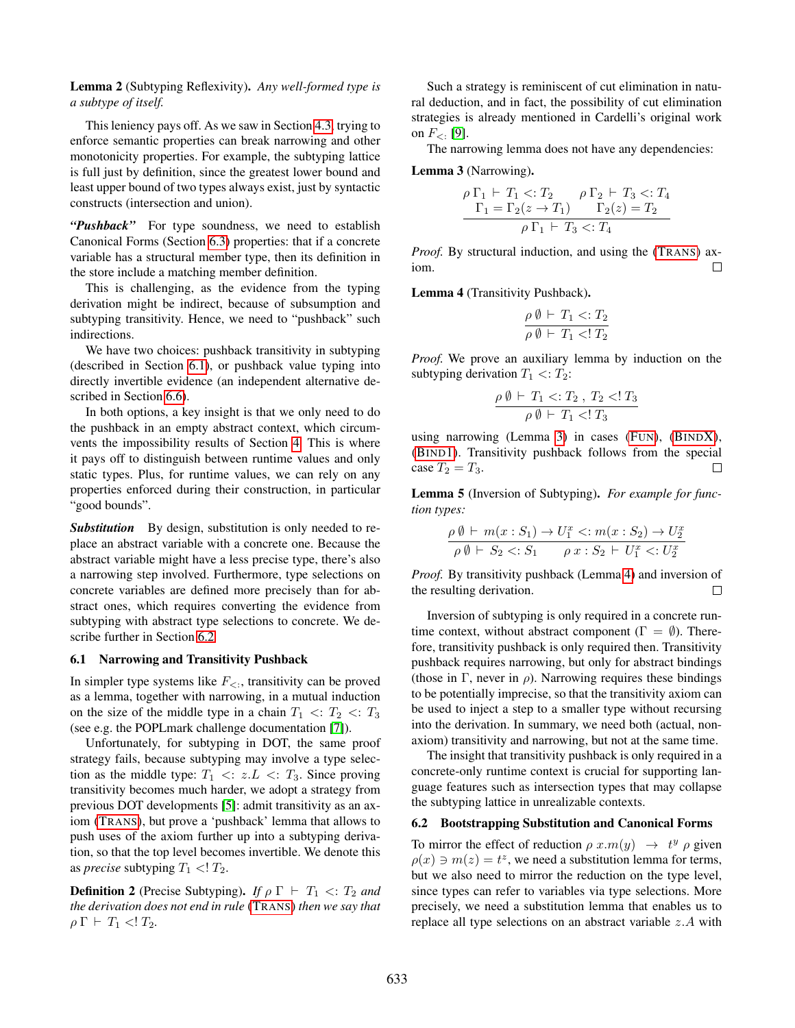Lemma 2 (Subtyping Reflexivity). *Any well-formed type is a subtype of itself.*

This leniency pays off. As we saw in Section [4.3,](#page-7-1) trying to enforce semantic properties can break narrowing and other monotonicity properties. For example, the subtyping lattice is full just by definition, since the greatest lower bound and least upper bound of two types always exist, just by syntactic constructs (intersection and union).

"Pushback" For type soundness, we need to establish Canonical Forms (Section [6.3\)](#page-10-0) properties: that if a concrete variable has a structural member type, then its definition in the store include a matching member definition.

This is challenging, as the evidence from the typing derivation might be indirect, because of subsumption and subtyping transitivity. Hence, we need to "pushback" such indirections.

We have two choices: pushback transitivity in subtyping (described in Section [6.1\)](#page-9-1), or pushback value typing into directly invertible evidence (an independent alternative described in Section [6.6\)](#page-11-2).

In both options, a key insight is that we only need to do the pushback in an empty abstract context, which circumvents the impossibility results of Section [4.](#page-5-0) This is where it pays off to distinguish between runtime values and only static types. Plus, for runtime values, we can rely on any properties enforced during their construction, in particular "good bounds".

*Substitution* By design, substitution is only needed to replace an abstract variable with a concrete one. Because the abstract variable might have a less precise type, there's also a narrowing step involved. Furthermore, type selections on concrete variables are defined more precisely than for abstract ones, which requires converting the evidence from subtyping with abstract type selections to concrete. We describe further in Section [6.2](#page-9-0)

#### <span id="page-9-1"></span>6.1 Narrowing and Transitivity Pushback

In simpler type systems like  $F_{\leq}$ , transitivity can be proved as a lemma, together with narrowing, in a mutual induction on the size of the middle type in a chain  $T_1 < T_2 < T_3$ (see e.g. the POPLmark challenge documentation [\[7\]](#page-15-19)).

Unfortunately, for subtyping in DOT, the same proof strategy fails, because subtyping may involve a type selection as the middle type:  $T_1 \ll z.L \ll T_3$ . Since proving transitivity becomes much harder, we adopt a strategy from previous DOT developments [\[5\]](#page-15-2): admit transitivity as an axiom (T[RANS](#page-4-14)), but prove a 'pushback' lemma that allows to push uses of the axiom further up into a subtyping derivation, so that the top level becomes invertible. We denote this as *precise* subtyping  $T_1$  <!  $T_2$ .

<span id="page-9-5"></span>**Definition 2** (Precise Subtyping). *If*  $\rho \Gamma \vdash T_1 \lt T_2$  *and the derivation does not end in rule* (T[RANS](#page-4-14)) *then we say that*  $\rho \Gamma \vdash T_1 \ll T_2$ .

Such a strategy is reminiscent of cut elimination in natural deduction, and in fact, the possibility of cut elimination strategies is already mentioned in Cardelli's original work on  $F_{\leq 1}$  [\[9\]](#page-15-6).

The narrowing lemma does not have any dependencies:

# <span id="page-9-2"></span>Lemma 3 (Narrowing).

$$
\rho \Gamma_1 \vdash T_1 <: T_2 \qquad \rho \Gamma_2 \vdash T_3 <: T_4 \n\Gamma_1 = \Gamma_2(z \to T_1) \qquad \Gamma_2(z) = T_2 \n\rho \Gamma_1 \vdash T_3 <: T_4
$$

*Proof.* By structural induction, and using the (T[RANS](#page-4-14)) axiom.  $\Box$ 

<span id="page-9-3"></span>Lemma 4 (Transitivity Pushback).

$$
\frac{\rho \emptyset \vdash T_1 <: T_2}{\rho \emptyset \vdash T_1 <: T_2}
$$

*Proof.* We prove an auxiliary lemma by induction on the subtyping derivation  $T_1 \ll T_2$ :

$$
\frac{\rho\,\emptyset\,\vdash\,T_1\mathrel{<:}\,T_2\mathrel{,}\,T_2\mathrel{<:}\,T_3}{\rho\,\emptyset\,\vdash\,T_1\mathrel{<:}\,T_3}
$$

using narrowing (Lemma [3\)](#page-9-2) in cases (F[UN](#page-4-9)), (B[IND](#page-4-11)X), (B[IND](#page-4-12)1). Transitivity pushback follows from the special case  $T_2 = T_3$ .  $\Box$ 

<span id="page-9-4"></span>Lemma 5 (Inversion of Subtyping). *For example for function types:*

$$
\frac{\rho \emptyset \vdash m(x : S_1) \to U_1^x \lt; : m(x : S_2) \to U_2^x}{\rho \emptyset \vdash S_2 \lt; : S_1 \qquad \rho x : S_2 \vdash U_1^x \lt; : U_2^x}
$$

*Proof.* By transitivity pushback (Lemma [4\)](#page-9-3) and inversion of the resulting derivation.  $\Box$ 

Inversion of subtyping is only required in a concrete runtime context, without abstract component ( $\Gamma = \emptyset$ ). Therefore, transitivity pushback is only required then. Transitivity pushback requires narrowing, but only for abstract bindings (those in Γ, never in  $\rho$ ). Narrowing requires these bindings to be potentially imprecise, so that the transitivity axiom can be used to inject a step to a smaller type without recursing into the derivation. In summary, we need both (actual, nonaxiom) transitivity and narrowing, but not at the same time.

The insight that transitivity pushback is only required in a concrete-only runtime context is crucial for supporting language features such as intersection types that may collapse the subtyping lattice in unrealizable contexts.

#### <span id="page-9-0"></span>6.2 Bootstrapping Substitution and Canonical Forms

To mirror the effect of reduction  $\rho x.m(y) \rightarrow t^y \rho$  given  $\rho(x) \ni m(z) = t^z$ , we need a substitution lemma for terms, but we also need to mirror the reduction on the type level, since types can refer to variables via type selections. More precisely, we need a substitution lemma that enables us to replace all type selections on an abstract variable  $z.A$  with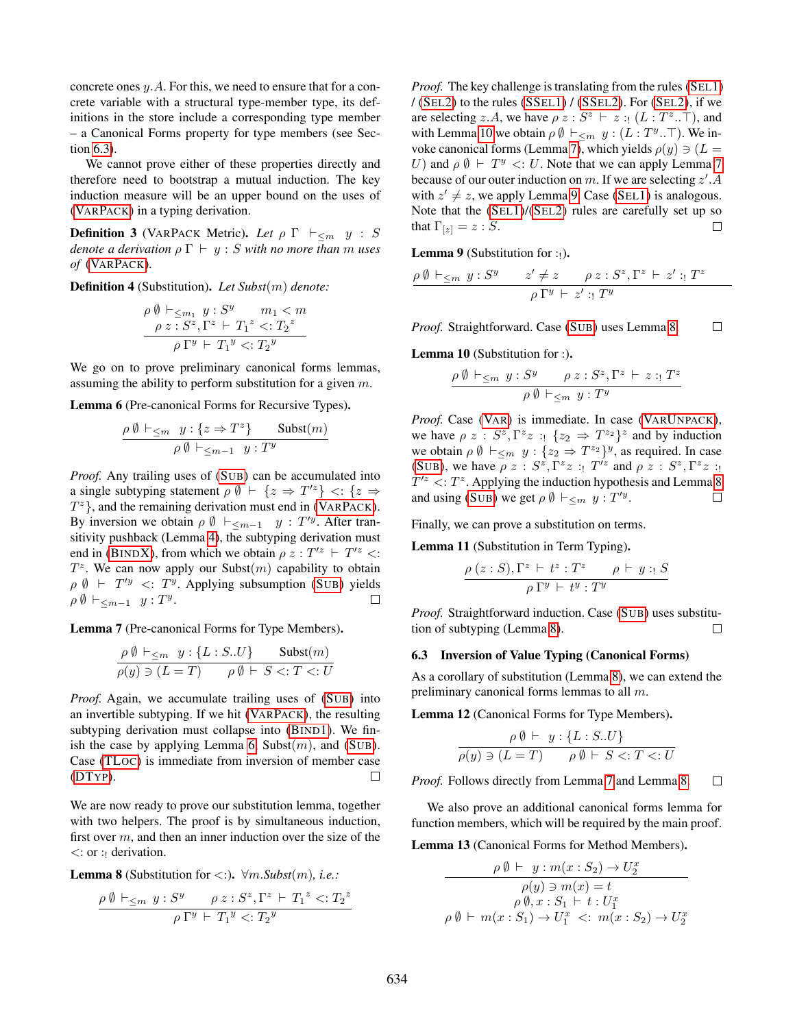concrete ones y.A. For this, we need to ensure that for a concrete variable with a structural type-member type, its definitions in the store include a corresponding type member – a Canonical Forms property for type members (see Section [6.3\)](#page-10-0).

We cannot prove either of these properties directly and therefore need to bootstrap a mutual induction. The key induction measure will be an upper bound on the uses of (VARP[ACK](#page-4-13)) in a typing derivation.

<span id="page-10-8"></span>**Definition 3** (VARPACK Metric). Let  $\rho \Gamma \vdash_{\leq m} y : S$ *denote a derivation*  $\rho \Gamma \vdash y : S$  *with no more than m uses of* (VARP[ACK](#page-4-13))*.*

<span id="page-10-9"></span>Definition 4 (Substitution). *Let Subst*(m) *denote:*

$$
\rho \emptyset \vdash_{\leq m_1} y : S^y \qquad m_1 < m
$$
\n
$$
\rho z : S^z, \Gamma^z \vdash T_1^z <: T_2^z
$$
\n
$$
\rho \Gamma^y \vdash T_1^y <: T_2^y
$$

We go on to prove preliminary canonical forms lemmas, assuming the ability to perform substitution for a given m.

<span id="page-10-1"></span>Lemma 6 (Pre-canonical Forms for Recursive Types).

$$
\frac{\rho \emptyset \vdash_{\leq m} y : \{z \Rightarrow T^z\} \qquad \text{Subst}(m)}{\rho \emptyset \vdash_{\leq m-1} y : T^y}
$$

*Proof.* Any trailing uses of (S[UB](#page-4-5)) can be accumulated into a single subtyping statement  $\rho \emptyset \vdash \{z \Rightarrow T'^{z}\} \leq \{z \Rightarrow$  $T^z$ }, and the remaining derivation must end in (VARP[ACK](#page-4-13)). By inversion we obtain  $\rho \emptyset \vdash_{\leq m-1} y : T'^y$ . After transitivity pushback (Lemma [4\)](#page-9-3), the subtyping derivation must end in (B[IND](#page-4-11)X), from which we obtain  $\rho z : T^2 \vdash T^2 \leq$ :  $T^z$ . We can now apply our Subst $(m)$  capability to obtain  $\rho \emptyset \vdash T'^y \prec T^y$ . Applying subsumption (S[UB](#page-4-5)) yields  $\rho \emptyset \vdash_{\leq m-1} y : T^y.$  $\Box$ 

<span id="page-10-3"></span>Lemma 7 (Pre-canonical Forms for Type Members).

$$
\frac{\rho \emptyset \vdash_{\leq m} y : \{L : S. U\}}{\rho(y) \ni (L = T)} \quad \frac{\text{Subst}(m)}{\rho \emptyset \vdash S \lt;: T \lt;: U}
$$

*Proof.* Again, we accumulate trailing uses of (S[UB](#page-4-5)) into an invertible subtyping. If we hit (VARP[ACK](#page-4-13)), the resulting subtyping derivation must collapse into (B[IND](#page-4-12)1). We fin-ish the case by applying Lemma [6,](#page-10-1) Subst $(m)$ , and (S[UB](#page-4-5)). Case [\(TL](#page-8-4)OC) is immediate from inversion of member case [\(DT](#page-4-7)YP).  $\Box$ 

We are now ready to prove our substitution lemma, together with two helpers. The proof is by simultaneous induction, first over  $m$ , and then an inner induction over the size of the  $\lt$ : or : derivation.

<span id="page-10-5"></span>**Lemma 8** (Substitution for  $\lt$ :).  $\forall m \text{.} \text{Subst}(m)$ , *i.e.*:

$$
\frac{\rho \emptyset \vdash_{\leq m} y : S^y \qquad \rho z : S^z, \Gamma^z \vdash T_1^z <: T_2^z}{\rho \Gamma^y \vdash T_1^y <: T_2^y}
$$

*Proof.* The key challenge is translating from the rules (S[EL](#page-4-1)1)  $/(SEL2)$  $/(SEL2)$  $/(SEL2)$  to the rules  $(SSEL1) / (SSEL2)$  $(SSEL1) / (SSEL2)$  $(SSEL1) / (SSEL2)$  $(SSEL1) / (SSEL2)$ . For  $(SEL2)$ , if we are selecting z.A, we have  $\rho z : S^z \vdash z : (L : T^z \dots T)$ , and with Lemma [10](#page-10-2) we obtain  $\rho \emptyset \vdash_{\leq m} y : (L : T^y \dots)$ . We in-voke canonical forms (Lemma [7\)](#page-10-3), which yields  $\rho(y) \ni (L =$ U) and  $\rho \emptyset \vdash T^y \lt: U$ . Note that we can apply Lemma [7](#page-10-3) because of our outer induction on m. If we are selecting  $z'$ . A with  $z' \neq z$ , we apply Lemma [9.](#page-10-4) Case (S[EL](#page-4-1)1) is analogous. Note that the (S[EL](#page-4-1)1)/(S[EL](#page-4-2)2) rules are carefully set up so that  $\Gamma_{[z]} = z : S$ .  $\Box$ 

**Lemma 9** (Substitution for :

<span id="page-10-4"></span>
$$
\frac{\rho \emptyset \vdash_{\leq m} y : S^y \qquad z' \neq z \qquad \rho z : S^z, \Gamma^z \vdash z' : T^z \qquad}{\rho \Gamma^y \vdash z' : T^y}
$$

*Proof.* Straightforward. Case (S[UB](#page-4-5)) uses Lemma [8.](#page-10-5)  $\Box$ 

<span id="page-10-2"></span>Lemma 10 (Substitution for :).

$$
\frac{\rho \emptyset \vdash_{\leq m} y : S^y \qquad \rho z : S^z, \Gamma^z \vdash z : T^z}{\rho \emptyset \vdash_{\leq m} y : T^y}
$$

*Proof.* Case (V[AR](#page-4-3)) is immediate. In case (VARU[NPACK](#page-4-4)), we have  $\rho z : S^z, \Gamma^z z : \{z_2 \Rightarrow T^{z_2}\}^z$  and by induction we obtain  $\rho \emptyset \vdash_{\leq m} y : \{z_2 \Rightarrow T^{z_2}\}^y$ , as required. In case (S[UB](#page-4-5)), we have  $\rho z : S^z, \Gamma^z z : T'^z$  and  $\rho z : S^z, \Gamma^z z : T'^z$  $T^{\prime z}$  <:  $T^z$ . Applying the induction hypothesis and Lemma [8](#page-10-5) and using (S[UB](#page-4-5)) we get  $\rho \emptyset \vdash_{\leq m} y : T'^{y}$ .  $\Box$ 

Finally, we can prove a substitution on terms.

<span id="page-10-6"></span>Lemma 11 (Substitution in Term Typing).

$$
\frac{\rho(z:S), \Gamma^z \vdash t^z : T^z \qquad \rho \vdash y : S}{\rho \Gamma^y \vdash t^y : T^y}
$$

*Proof.* Straightforward induction. Case (S[UB](#page-4-5)) uses substitution of subtyping (Lemma [8\)](#page-10-5).  $\Box$ 

### <span id="page-10-0"></span>6.3 Inversion of Value Typing (Canonical Forms)

As a corollary of substitution (Lemma [8\)](#page-10-5), we can extend the preliminary canonical forms lemmas to all m.

<span id="page-10-10"></span>Lemma 12 (Canonical Forms for Type Members).

$$
\frac{\rho \emptyset \vdash y : \{L : S .. U\}}{\rho(y) \ni (L = T) \qquad \rho \emptyset \vdash S \lt: : T \lt: U}
$$

*Proof.* Follows directly from Lemma [7](#page-10-3) and Lemma [8.](#page-10-5)  $\Box$ 

We also prove an additional canonical forms lemma for function members, which will be required by the main proof.

<span id="page-10-7"></span>Lemma 13 (Canonical Forms for Method Members).

$$
\rho \emptyset \vdash y : m(x : S_2) \to U_2^x
$$
  
\n
$$
\rho(y) \ni m(x) = t
$$
  
\n
$$
\rho \emptyset, x : S_1 \vdash t : U_1^x
$$
  
\n
$$
\rho \emptyset \vdash m(x : S_1) \to U_1^x \iff m(x : S_2) \to U_2^x
$$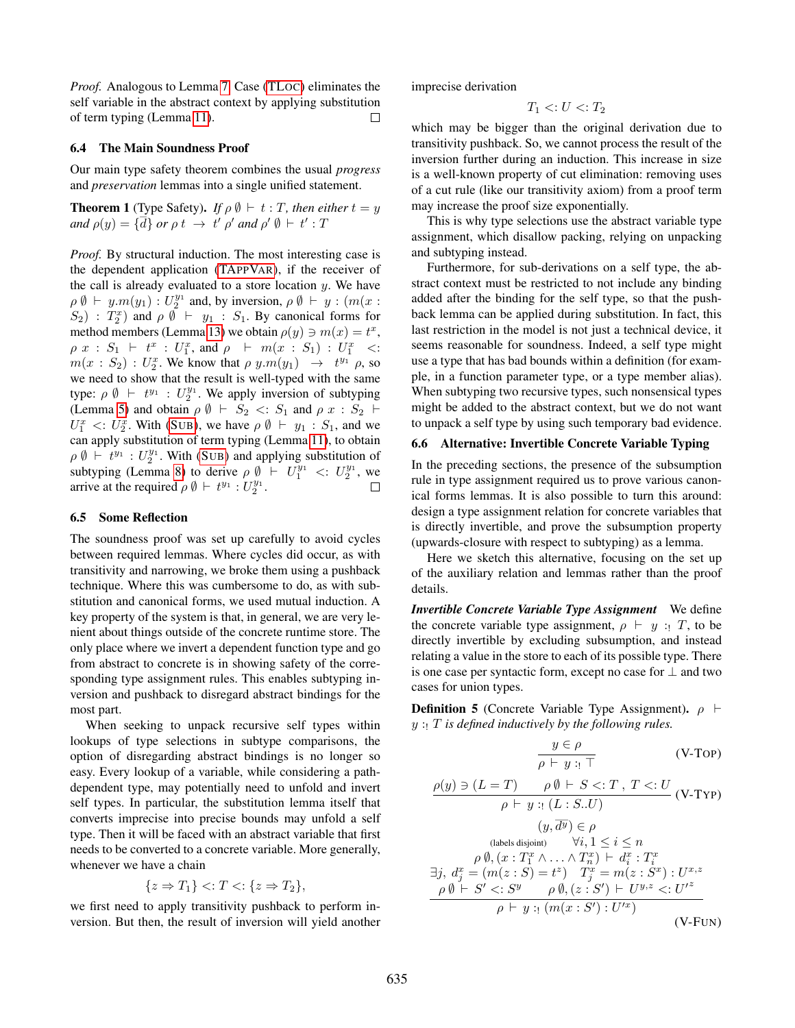*Proof.* Analogous to Lemma [7.](#page-10-3) Case [\(TL](#page-8-4)OC) eliminates the self variable in the abstract context by applying substitution of term typing (Lemma [11\)](#page-10-6). П

#### 6.4 The Main Soundness Proof

Our main type safety theorem combines the usual *progress* and *preservation* lemmas into a single unified statement.

<span id="page-11-0"></span>**Theorem 1** (Type Safety). *If*  $\rho \emptyset \vdash t : T$ , then either  $t = y$ *and*  $\rho(y) = {\overline{d}}$  *or*  $\rho t \rightarrow t' \rho'$  *and*  $\rho' \emptyset \vdash t' : T$ 

*Proof.* By structural induction. The most interesting case is the dependent application [\(TA](#page-4-15)PPVAR), if the receiver of the call is already evaluated to a store location  $y$ . We have  $\rho \emptyset \vdash y.m(y_1) : U_2^{y_1}$  and, by inversion,  $\rho \emptyset \vdash y : (m(x : y_1) \ldots y_n)$  $(S_2)$ :  $T_2^x$  and  $\rho \emptyset + y_1 : S_1$ . By canonical forms for method members (Lemma [13\)](#page-10-7) we obtain  $\rho(y) \ni m(x) = t^x$ ,  $\rho \; x \; : \; S_1 \; \vdash \; t^x \; : \; U_1^x, \; \text{and} \; \rho \;\; \vdash \; m(x \; : \; S_1) \; : \; U_1^x \; \; <:$  $m(x : S_2) : U_2^x$ . We know that  $\rho \, y.m(y_1) \rightarrow t^{y_1} \, \rho$ , so we need to show that the result is well-typed with the same type:  $\rho \emptyset \vdash t^{y_1}$  :  $U_2^{y_1}$ . We apply inversion of subtyping (Lemma [5\)](#page-9-4) and obtain  $\rho \emptyset \vdash S_2 \lt: S_1$  and  $\rho x : S_2 \vdash$  $U_1^x$  <:  $U_2^x$ . With (S[UB](#page-4-5)), we have  $\rho \emptyset + y_1 : S_1$ , and we can apply substitution of term typing (Lemma [11\)](#page-10-6), to obtain  $\rho \emptyset \vdash t^{y_1} : U_2^{y_1}$ . With (S[UB](#page-4-5)) and applying substitution of subtyping (Lemma [8\)](#page-10-5) to derive  $\rho \emptyset \vdash U_1^{y_1} \lt: U_2^{y_1}$ , we arrive at the required  $\rho \emptyset \vdash t^{y_1} : U_2^{y_1}$ .  $\Box$ 

### <span id="page-11-1"></span>6.5 Some Reflection

The soundness proof was set up carefully to avoid cycles between required lemmas. Where cycles did occur, as with transitivity and narrowing, we broke them using a pushback technique. Where this was cumbersome to do, as with substitution and canonical forms, we used mutual induction. A key property of the system is that, in general, we are very lenient about things outside of the concrete runtime store. The only place where we invert a dependent function type and go from abstract to concrete is in showing safety of the corresponding type assignment rules. This enables subtyping inversion and pushback to disregard abstract bindings for the most part.

When seeking to unpack recursive self types within lookups of type selections in subtype comparisons, the option of disregarding abstract bindings is no longer so easy. Every lookup of a variable, while considering a pathdependent type, may potentially need to unfold and invert self types. In particular, the substitution lemma itself that converts imprecise into precise bounds may unfold a self type. Then it will be faced with an abstract variable that first needs to be converted to a concrete variable. More generally, whenever we have a chain

$$
\{z \Rightarrow T_1\} <: T <: \{z \Rightarrow T_2\},
$$

we first need to apply transitivity pushback to perform inversion. But then, the result of inversion will yield another imprecise derivation

$$
T_1 <: U <: T_2
$$

which may be bigger than the original derivation due to transitivity pushback. So, we cannot process the result of the inversion further during an induction. This increase in size is a well-known property of cut elimination: removing uses of a cut rule (like our transitivity axiom) from a proof term may increase the proof size exponentially.

This is why type selections use the abstract variable type assignment, which disallow packing, relying on unpacking and subtyping instead.

Furthermore, for sub-derivations on a self type, the abstract context must be restricted to not include any binding added after the binding for the self type, so that the pushback lemma can be applied during substitution. In fact, this last restriction in the model is not just a technical device, it seems reasonable for soundness. Indeed, a self type might use a type that has bad bounds within a definition (for example, in a function parameter type, or a type member alias). When subtyping two recursive types, such nonsensical types might be added to the abstract context, but we do not want to unpack a self type by using such temporary bad evidence.

### <span id="page-11-2"></span>6.6 Alternative: Invertible Concrete Variable Typing

In the preceding sections, the presence of the subsumption rule in type assignment required us to prove various canonical forms lemmas. It is also possible to turn this around: design a type assignment relation for concrete variables that is directly invertible, and prove the subsumption property (upwards-closure with respect to subtyping) as a lemma.

Here we sketch this alternative, focusing on the set up of the auxiliary relation and lemmas rather than the proof details.

*Invertible Concrete Variable Type Assignment* We define the concrete variable type assignment,  $\rho \vdash y : T$ , to be directly invertible by excluding subsumption, and instead relating a value in the store to each of its possible type. There is one case per syntactic form, except no case for  $\perp$  and two cases for union types.

<span id="page-11-3"></span>**Definition 5** (Concrete Variable Type Assignment).  $\rho$  ⊢ y :! T *is defined inductively by the following rules.*

$$
\frac{y \in \rho}{\rho \vdash y :_{!} \top}
$$
 (V-Top)

$$
\rho(y) \ni (L = T) \qquad \rho \emptyset \vdash S <: T, T <: U
$$
\n
$$
\rho \vdash y : (L : S .. U)
$$
\n
$$
(y, \overline{d^y}) \in \rho
$$
\n(labels disjoint) 
$$
\forall i, 1 \leq i \leq n
$$

\n
$$
\rho \emptyset, (x : T_1^x \land ... \land T_n^x) \vdash d_i^x : T_i^x
$$
\n
$$
\exists j, d_j^x = (m(z : S) = t^z) \quad T_j^x = m(z : S^x) : U^{x,z}
$$
\n
$$
\rho \emptyset \vdash S' <: S^y \qquad \rho \emptyset, (z : S') \vdash U^{y,z} <: U'^z
$$
\n
$$
\rho \vdash y : (m(x : S') : U'^x)
$$
\n(V-FUN)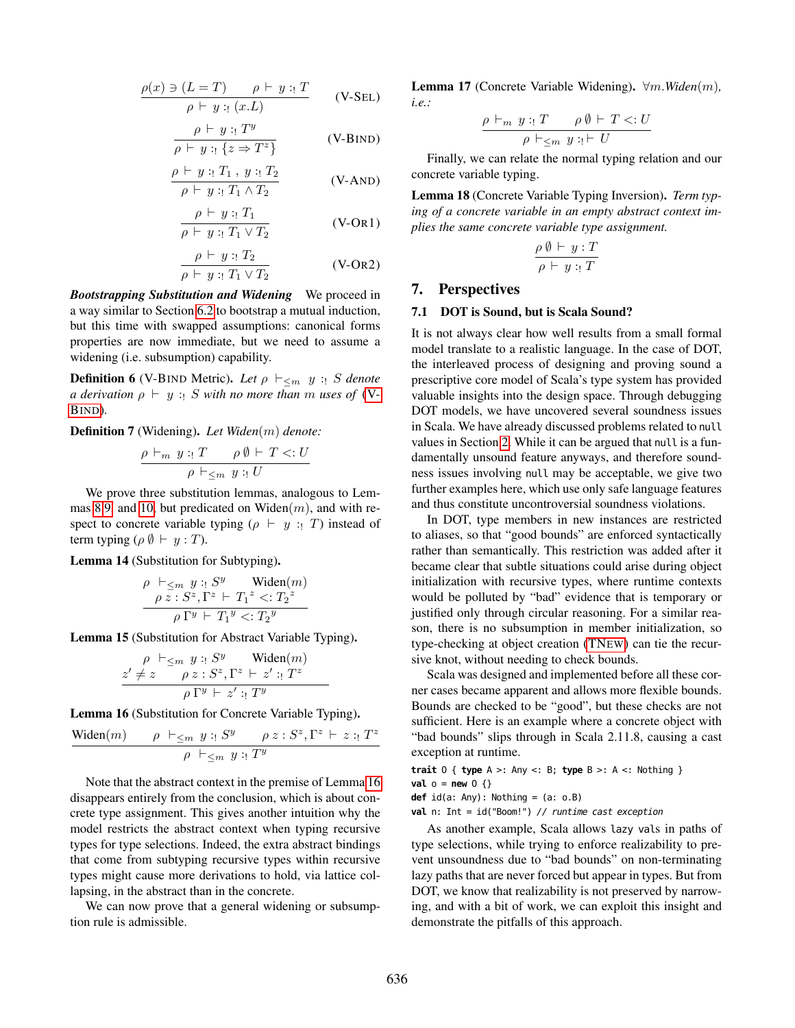$$
\frac{\rho(x) \ni (L = T) \qquad \rho \vdash y : T}{\rho \vdash y : x(L)}
$$
 (V-SEL)

$$
\frac{\rho \vdash y : T^y}{\rho \vdash y : \{z \Rightarrow T^z\}}
$$
 (V-BIND)

$$
\frac{\rho \vdash y : T_1, y : T_2}{\rho \vdash y : T_1 \land T_2}
$$
 (V-AND)

$$
\frac{\rho \vdash y : T_1}{\rho \vdash y : T_1 \lor T_2}
$$
 (V-OR1)

$$
\frac{\rho \vdash y : T_2}{\rho \vdash y : T_1 \lor T_2} \qquad \qquad \text{(V-OR2)}
$$

*Bootstrapping Substitution and Widening* We proceed in a way similar to Section [6.2](#page-9-0) to bootstrap a mutual induction, but this time with swapped assumptions: canonical forms properties are now immediate, but we need to assume a widening (i.e. subsumption) capability.

<span id="page-12-4"></span>**Definition 6** (V-BIND Metric). Let  $\rho \vdash_{\leq m} y : S$  denote *a derivation*  $\rho \vdash y :: S$  *with no more than m uses of* [\(V-](#page-12-2)B[IND](#page-12-2))*.*

<span id="page-12-5"></span>Definition 7 (Widening). *Let Widen*(m) *denote:*

$$
\frac{\rho \vdash_m y : T \qquad \rho \emptyset \vdash T <: U}{\rho \vdash_{\leq m} y : U}
$$

We prove three substitution lemmas, analogous to Lem-mas [8](#page-10-5)[,9,](#page-10-4) and [10,](#page-10-2) but predicated on Widen $(m)$ , and with respect to concrete variable typing ( $\rho \vdash y : T$ ) instead of term typing ( $\rho$   $\emptyset$   $\vdash$   $y : T$ ).

<span id="page-12-6"></span>Lemma 14 (Substitution for Subtyping).

$$
\rho \vdash_{\leq m} y :: S^y \quad \text{Widen}(m)
$$

$$
\rho z :: S^z, \Gamma^z \vdash T_1^z < T_2^z
$$

$$
\rho \Gamma^y \vdash T_1^y < T_2^y
$$

<span id="page-12-7"></span>Lemma 15 (Substitution for Abstract Variable Typing).

$$
\frac{\rho \vdash_{\leq m} y :_! S^y \quad \text{Widen}(m)}{\rho z :_! S^z, \Gamma^z \vdash z' :_! T^z}
$$
\n
$$
\frac{z' \neq z \quad \rho z :_! S^z, \Gamma^z \vdash z' :_! T^z}{\rho \Gamma^y \vdash z' :_! T^y}
$$

Lemma 16 (Substitution for Concrete Variable Typing).

<span id="page-12-3"></span>
$$
\frac{\text{Widen}(m) \qquad \rho \vdash_{\leq m} y :: S^y \qquad \rho z : S^z, \Gamma^z \vdash z :: T^z}{\rho \vdash_{\leq m} y :: T^y}
$$

Note that the abstract context in the premise of Lemma [16](#page-12-3) disappears entirely from the conclusion, which is about concrete type assignment. This gives another intuition why the model restricts the abstract context when typing recursive types for type selections. Indeed, the extra abstract bindings that come from subtyping recursive types within recursive types might cause more derivations to hold, via lattice collapsing, in the abstract than in the concrete.

<span id="page-12-8"></span>We can now prove that a general widening or subsumption rule is admissible.

Lemma 17 (Concrete Variable Widening). ∀m.*Widen*(m)*, i.e.:*

$$
\frac{\rho \vdash_m y :_! T \qquad \rho \emptyset \vdash T <: U}{\rho \vdash_{\leq m} y :_! \vdash U}
$$

<span id="page-12-2"></span>Finally, we can relate the normal typing relation and our concrete variable typing.

<span id="page-12-9"></span>Lemma 18 (Concrete Variable Typing Inversion). *Term typing of a concrete variable in an empty abstract context implies the same concrete variable type assignment.*

$$
\frac{\rho\ \emptyset\ \vdash\ y\ \colon T}{\rho\ \vdash\ y\ \colon T}
$$

### <span id="page-12-0"></span>7. Perspectives

#### 7.1 DOT is Sound, but is Scala Sound?

<span id="page-12-1"></span>It is not always clear how well results from a small formal model translate to a realistic language. In the case of DOT, the interleaved process of designing and proving sound a prescriptive core model of Scala's type system has provided valuable insights into the design space. Through debugging DOT models, we have uncovered several soundness issues in Scala. We have already discussed problems related to null values in Section [2.](#page-0-0) While it can be argued that null is a fundamentally unsound feature anyways, and therefore soundness issues involving null may be acceptable, we give two further examples here, which use only safe language features and thus constitute uncontroversial soundness violations.

In DOT, type members in new instances are restricted to aliases, so that "good bounds" are enforced syntactically rather than semantically. This restriction was added after it became clear that subtle situations could arise during object initialization with recursive types, where runtime contexts would be polluted by "bad" evidence that is temporary or justified only through circular reasoning. For a similar reason, there is no subsumption in member initialization, so type-checking at object creation [\(TN](#page-4-6)EW) can tie the recursive knot, without needing to check bounds.

Scala was designed and implemented before all these corner cases became apparent and allows more flexible bounds. Bounds are checked to be "good", but these checks are not sufficient. Here is an example where a concrete object with "bad bounds" slips through in Scala 2.11.8, causing a cast exception at runtime.

**trait** O { **type** A >: Any <: B; **type** B >: A <: Nothing }

**val** o = **new** O {}

**def** id(a: Any): Nothing = (a: o.B)

**val** n: Int = id("Boom!") // runtime cast exception

As another example, Scala allows lazy vals in paths of type selections, while trying to enforce realizability to prevent unsoundness due to "bad bounds" on non-terminating lazy paths that are never forced but appear in types. But from DOT, we know that realizability is not preserved by narrowing, and with a bit of work, we can exploit this insight and demonstrate the pitfalls of this approach.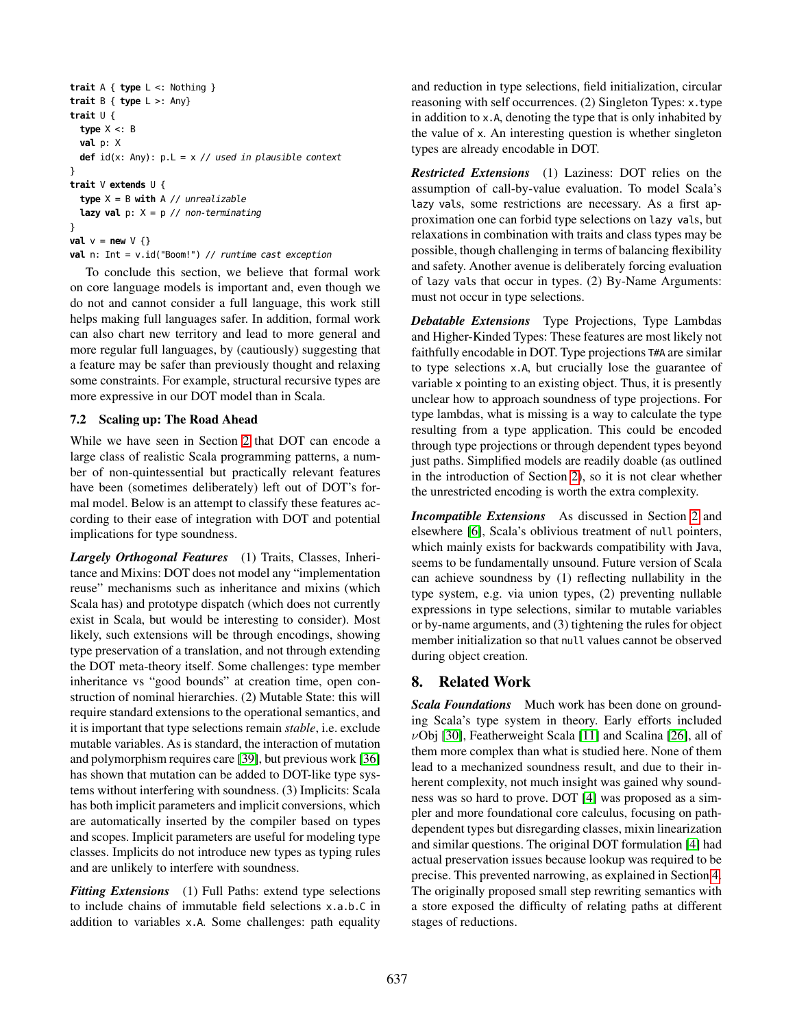```
trait A { type L <: Nothing }
trait B { type L >: Any}
trait U {
 type X <: B
 val p: X
 def id(x: Any): p.L = x // used in plausible context}
trait V extends U {
 type X = B with A // unrealizable
 lazy val p: X = p // non-terminating
}
val v = new \vee \{\}val n: Int = v.id("Boom!") // runtime cast exception
```
To conclude this section, we believe that formal work on core language models is important and, even though we do not and cannot consider a full language, this work still helps making full languages safer. In addition, formal work can also chart new territory and lead to more general and more regular full languages, by (cautiously) suggesting that a feature may be safer than previously thought and relaxing some constraints. For example, structural recursive types are more expressive in our DOT model than in Scala.

# <span id="page-13-1"></span>7.2 Scaling up: The Road Ahead

While we have seen in Section [2](#page-0-0) that DOT can encode a large class of realistic Scala programming patterns, a number of non-quintessential but practically relevant features have been (sometimes deliberately) left out of DOT's formal model. Below is an attempt to classify these features according to their ease of integration with DOT and potential implications for type soundness.

*Largely Orthogonal Features* (1) Traits, Classes, Inheritance and Mixins: DOT does not model any "implementation reuse" mechanisms such as inheritance and mixins (which Scala has) and prototype dispatch (which does not currently exist in Scala, but would be interesting to consider). Most likely, such extensions will be through encodings, showing type preservation of a translation, and not through extending the DOT meta-theory itself. Some challenges: type member inheritance vs "good bounds" at creation time, open construction of nominal hierarchies. (2) Mutable State: this will require standard extensions to the operational semantics, and it is important that type selections remain *stable*, i.e. exclude mutable variables. As is standard, the interaction of mutation and polymorphism requires care [\[39\]](#page-15-20), but previous work [\[36\]](#page-15-17) has shown that mutation can be added to DOT-like type systems without interfering with soundness. (3) Implicits: Scala has both implicit parameters and implicit conversions, which are automatically inserted by the compiler based on types and scopes. Implicit parameters are useful for modeling type classes. Implicits do not introduce new types as typing rules and are unlikely to interfere with soundness.

*Fitting Extensions* (1) Full Paths: extend type selections to include chains of immutable field selections x.a.b.C in addition to variables x.A. Some challenges: path equality and reduction in type selections, field initialization, circular reasoning with self occurrences. (2) Singleton Types: x.type in addition to x.A, denoting the type that is only inhabited by the value of x. An interesting question is whether singleton types are already encodable in DOT.

*Restricted Extensions* (1) Laziness: DOT relies on the assumption of call-by-value evaluation. To model Scala's lazy vals, some restrictions are necessary. As a first approximation one can forbid type selections on lazy vals, but relaxations in combination with traits and class types may be possible, though challenging in terms of balancing flexibility and safety. Another avenue is deliberately forcing evaluation of lazy vals that occur in types. (2) By-Name Arguments: must not occur in type selections.

*Debatable Extensions* Type Projections, Type Lambdas and Higher-Kinded Types: These features are most likely not faithfully encodable in DOT. Type projections T#A are similar to type selections x.A, but crucially lose the guarantee of variable x pointing to an existing object. Thus, it is presently unclear how to approach soundness of type projections. For type lambdas, what is missing is a way to calculate the type resulting from a type application. This could be encoded through type projections or through dependent types beyond just paths. Simplified models are readily doable (as outlined in the introduction of Section [2\)](#page-0-0), so it is not clear whether the unrestricted encoding is worth the extra complexity.

*Incompatible Extensions* As discussed in Section [2](#page-0-0) and elsewhere [\[6\]](#page-15-8), Scala's oblivious treatment of null pointers, which mainly exists for backwards compatibility with Java, seems to be fundamentally unsound. Future version of Scala can achieve soundness by (1) reflecting nullability in the type system, e.g. via union types, (2) preventing nullable expressions in type selections, similar to mutable variables or by-name arguments, and (3) tightening the rules for object member initialization so that null values cannot be observed during object creation.

# <span id="page-13-0"></span>8. Related Work

*Scala Foundations* Much work has been done on grounding Scala's type system in theory. Early efforts included  $\nu$ Obj [\[30\]](#page-15-21), Featherweight Scala [\[11\]](#page-15-22) and Scalina [\[26\]](#page-15-23), all of them more complex than what is studied here. None of them lead to a mechanized soundness result, and due to their inherent complexity, not much insight was gained why soundness was so hard to prove. DOT [\[4\]](#page-15-1) was proposed as a simpler and more foundational core calculus, focusing on pathdependent types but disregarding classes, mixin linearization and similar questions. The original DOT formulation [\[4\]](#page-15-1) had actual preservation issues because lookup was required to be precise. This prevented narrowing, as explained in Section [4.](#page-5-0) The originally proposed small step rewriting semantics with a store exposed the difficulty of relating paths at different stages of reductions.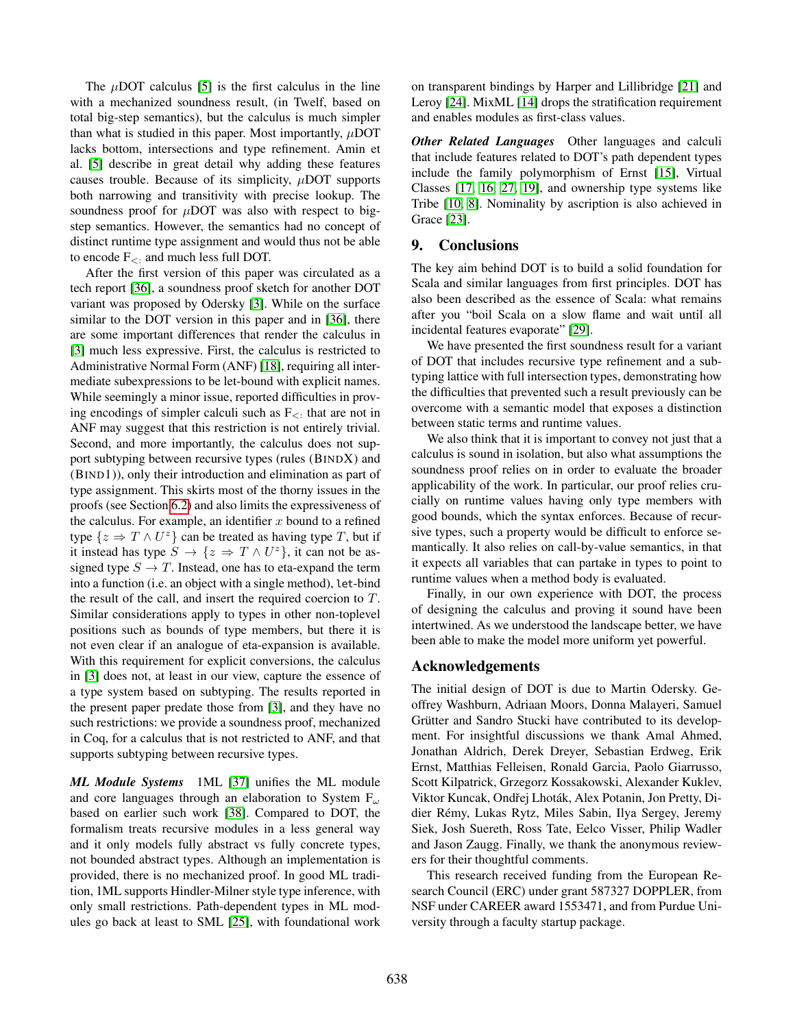The  $\mu$ DOT calculus [\[5\]](#page-15-2) is the first calculus in the line with a mechanized soundness result, (in Twelf, based on total big-step semantics), but the calculus is much simpler than what is studied in this paper. Most importantly,  $\mu$ DOT lacks bottom, intersections and type refinement. Amin et al. [\[5\]](#page-15-2) describe in great detail why adding these features causes trouble. Because of its simplicity,  $\mu$ DOT supports both narrowing and transitivity with precise lookup. The soundness proof for  $\mu$ DOT was also with respect to bigstep semantics. However, the semantics had no concept of distinct runtime type assignment and would thus not be able to encode  $F_{\leq 1}$  and much less full DOT.

After the first version of this paper was circulated as a tech report [\[36\]](#page-15-17), a soundness proof sketch for another DOT variant was proposed by Odersky [\[3\]](#page-15-24). While on the surface similar to the DOT version in this paper and in [\[36\]](#page-15-17), there are some important differences that render the calculus in [\[3\]](#page-15-24) much less expressive. First, the calculus is restricted to Administrative Normal Form (ANF) [\[18\]](#page-15-25), requiring all intermediate subexpressions to be let-bound with explicit names. While seemingly a minor issue, reported difficulties in proving encodings of simpler calculi such as  $F_{\leq}$  that are not in ANF may suggest that this restriction is not entirely trivial. Second, and more importantly, the calculus does not support subtyping between recursive types (rules (BINDX) and (BIND1)), only their introduction and elimination as part of type assignment. This skirts most of the thorny issues in the proofs (see Section [6.2\)](#page-9-0) and also limits the expressiveness of the calculus. For example, an identifier  $x$  bound to a refined type  $\{z \Rightarrow T \wedge U^z\}$  can be treated as having type T, but if it instead has type  $S \to \{z \Rightarrow T \wedge U^z\}$ , it can not be assigned type  $S \to T$ . Instead, one has to eta-expand the term into a function (i.e. an object with a single method), let-bind the result of the call, and insert the required coercion to T. Similar considerations apply to types in other non-toplevel positions such as bounds of type members, but there it is not even clear if an analogue of eta-expansion is available. With this requirement for explicit conversions, the calculus in [\[3\]](#page-15-24) does not, at least in our view, capture the essence of a type system based on subtyping. The results reported in the present paper predate those from [\[3\]](#page-15-24), and they have no such restrictions: we provide a soundness proof, mechanized in Coq, for a calculus that is not restricted to ANF, and that supports subtyping between recursive types.

*ML Module Systems* 1ML [\[37\]](#page-15-26) unifies the ML module and core languages through an elaboration to System  $F_{\omega}$ based on earlier such work [\[38\]](#page-15-27). Compared to DOT, the formalism treats recursive modules in a less general way and it only models fully abstract vs fully concrete types, not bounded abstract types. Although an implementation is provided, there is no mechanized proof. In good ML tradition, 1ML supports Hindler-Milner style type inference, with only small restrictions. Path-dependent types in ML modules go back at least to SML [\[25\]](#page-15-28), with foundational work on transparent bindings by Harper and Lillibridge [\[21\]](#page-15-29) and Leroy [\[24\]](#page-15-30). MixML [\[14\]](#page-15-31) drops the stratification requirement and enables modules as first-class values.

*Other Related Languages* Other languages and calculi that include features related to DOT's path dependent types include the family polymorphism of Ernst [\[15\]](#page-15-32), Virtual Classes [\[17,](#page-15-33) [16,](#page-15-34) [27,](#page-15-35) [19\]](#page-15-36), and ownership type systems like Tribe [\[10,](#page-15-37) [8\]](#page-15-38). Nominality by ascription is also achieved in Grace [\[23\]](#page-15-39).

# <span id="page-14-0"></span>9. Conclusions

The key aim behind DOT is to build a solid foundation for Scala and similar languages from first principles. DOT has also been described as the essence of Scala: what remains after you "boil Scala on a slow flame and wait until all incidental features evaporate" [\[29\]](#page-15-40).

We have presented the first soundness result for a variant of DOT that includes recursive type refinement and a subtyping lattice with full intersection types, demonstrating how the difficulties that prevented such a result previously can be overcome with a semantic model that exposes a distinction between static terms and runtime values.

We also think that it is important to convey not just that a calculus is sound in isolation, but also what assumptions the soundness proof relies on in order to evaluate the broader applicability of the work. In particular, our proof relies crucially on runtime values having only type members with good bounds, which the syntax enforces. Because of recursive types, such a property would be difficult to enforce semantically. It also relies on call-by-value semantics, in that it expects all variables that can partake in types to point to runtime values when a method body is evaluated.

Finally, in our own experience with DOT, the process of designing the calculus and proving it sound have been intertwined. As we understood the landscape better, we have been able to make the model more uniform yet powerful.

### Acknowledgements

The initial design of DOT is due to Martin Odersky. Geoffrey Washburn, Adriaan Moors, Donna Malayeri, Samuel Grütter and Sandro Stucki have contributed to its development. For insightful discussions we thank Amal Ahmed, Jonathan Aldrich, Derek Dreyer, Sebastian Erdweg, Erik Ernst, Matthias Felleisen, Ronald Garcia, Paolo Giarrusso, Scott Kilpatrick, Grzegorz Kossakowski, Alexander Kuklev, Viktor Kuncak, Ondřej Lhoták, Alex Potanin, Jon Pretty, Didier Rémy, Lukas Rytz, Miles Sabin, Ilya Sergey, Jeremy Siek, Josh Suereth, Ross Tate, Eelco Visser, Philip Wadler and Jason Zaugg. Finally, we thank the anonymous reviewers for their thoughtful comments.

This research received funding from the European Research Council (ERC) under grant 587327 DOPPLER, from NSF under CAREER award 1553471, and from Purdue University through a faculty startup package.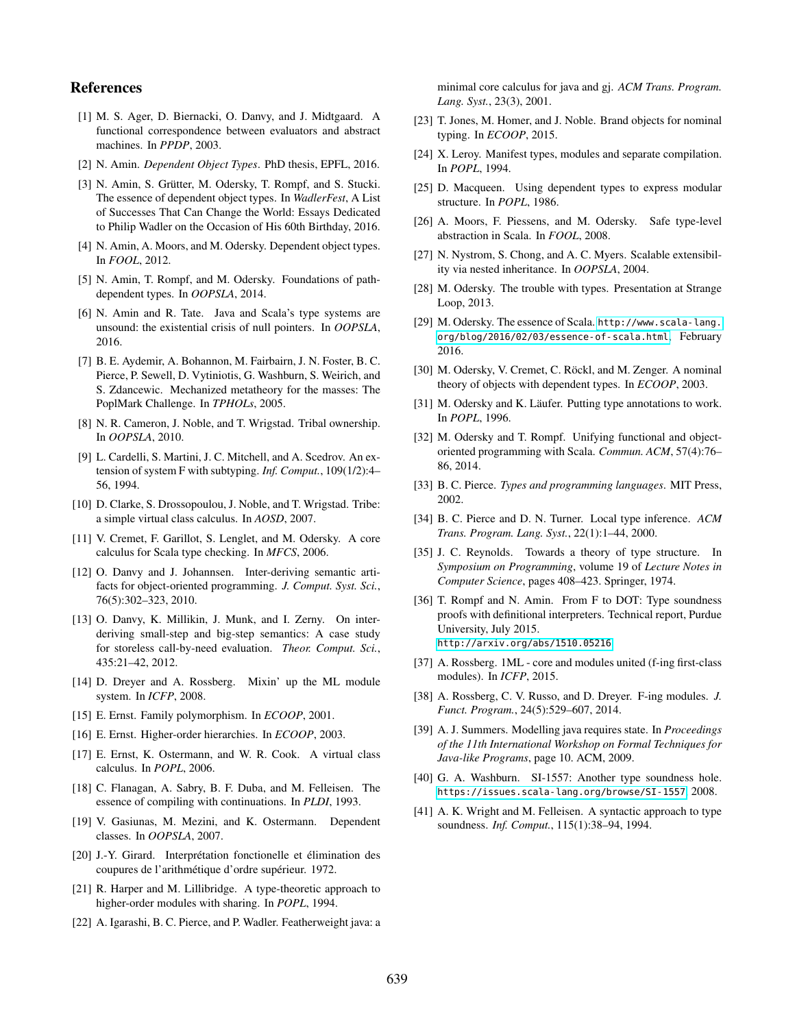# References

- <span id="page-15-16"></span>[1] M. S. Ager, D. Biernacki, O. Danvy, and J. Midtgaard. A functional correspondence between evaluators and abstract machines. In *PPDP*, 2003.
- <span id="page-15-13"></span>[2] N. Amin. *Dependent Object Types*. PhD thesis, EPFL, 2016.
- <span id="page-15-24"></span>[3] N. Amin, S. Grütter, M. Odersky, T. Rompf, and S. Stucki. The essence of dependent object types. In *WadlerFest*, A List of Successes That Can Change the World: Essays Dedicated to Philip Wadler on the Occasion of His 60th Birthday, 2016.
- <span id="page-15-1"></span>[4] N. Amin, A. Moors, and M. Odersky. Dependent object types. In *FOOL*, 2012.
- <span id="page-15-2"></span>[5] N. Amin, T. Rompf, and M. Odersky. Foundations of pathdependent types. In *OOPSLA*, 2014.
- <span id="page-15-8"></span>[6] N. Amin and R. Tate. Java and Scala's type systems are unsound: the existential crisis of null pointers. In *OOPSLA*, 2016.
- <span id="page-15-19"></span>[7] B. E. Aydemir, A. Bohannon, M. Fairbairn, J. N. Foster, B. C. Pierce, P. Sewell, D. Vytiniotis, G. Washburn, S. Weirich, and S. Zdancewic. Mechanized metatheory for the masses: The PoplMark Challenge. In *TPHOLs*, 2005.
- <span id="page-15-38"></span>[8] N. R. Cameron, J. Noble, and T. Wrigstad. Tribal ownership. In *OOPSLA*, 2010.
- <span id="page-15-6"></span>[9] L. Cardelli, S. Martini, J. C. Mitchell, and A. Scedrov. An extension of system F with subtyping. *Inf. Comput.*, 109(1/2):4– 56, 1994.
- <span id="page-15-37"></span>[10] D. Clarke, S. Drossopoulou, J. Noble, and T. Wrigstad. Tribe: a simple virtual class calculus. In *AOSD*, 2007.
- <span id="page-15-22"></span>[11] V. Cremet, F. Garillot, S. Lenglet, and M. Odersky. A core calculus for Scala type checking. In *MFCS*, 2006.
- <span id="page-15-14"></span>[12] O. Danvy and J. Johannsen. Inter-deriving semantic artifacts for object-oriented programming. *J. Comput. Syst. Sci.*, 76(5):302–323, 2010.
- <span id="page-15-15"></span>[13] O. Danvy, K. Millikin, J. Munk, and I. Zerny. On interderiving small-step and big-step semantics: A case study for storeless call-by-need evaluation. *Theor. Comput. Sci.*, 435:21–42, 2012.
- <span id="page-15-31"></span>[14] D. Dreyer and A. Rossberg. Mixin' up the ML module system. In *ICFP*, 2008.
- <span id="page-15-32"></span>[15] E. Ernst. Family polymorphism. In *ECOOP*, 2001.
- <span id="page-15-34"></span>[16] E. Ernst. Higher-order hierarchies. In *ECOOP*, 2003.
- <span id="page-15-33"></span>[17] E. Ernst, K. Ostermann, and W. R. Cook. A virtual class calculus. In *POPL*, 2006.
- <span id="page-15-25"></span>[18] C. Flanagan, A. Sabry, B. F. Duba, and M. Felleisen. The essence of compiling with continuations. In *PLDI*, 1993.
- <span id="page-15-36"></span>[19] V. Gasiunas, M. Mezini, and K. Ostermann. Dependent classes. In *OOPSLA*, 2007.
- <span id="page-15-4"></span>[20] J.-Y. Girard. Interprétation fonctionelle et élimination des coupures de l'arithmétique d'ordre supérieur. 1972.
- <span id="page-15-29"></span>[21] R. Harper and M. Lillibridge. A type-theoretic approach to higher-order modules with sharing. In *POPL*, 1994.
- <span id="page-15-10"></span>[22] A. Igarashi, B. C. Pierce, and P. Wadler. Featherweight java: a

minimal core calculus for java and gj. *ACM Trans. Program. Lang. Syst.*, 23(3), 2001.

- <span id="page-15-39"></span>[23] T. Jones, M. Homer, and J. Noble. Brand objects for nominal typing. In *ECOOP*, 2015.
- <span id="page-15-30"></span>[24] X. Leroy. Manifest types, modules and separate compilation. In *POPL*, 1994.
- <span id="page-15-28"></span>[25] D. Macqueen. Using dependent types to express modular structure. In *POPL*, 1986.
- <span id="page-15-23"></span>[26] A. Moors, F. Piessens, and M. Odersky. Safe type-level abstraction in Scala. In *FOOL*, 2008.
- <span id="page-15-35"></span>[27] N. Nystrom, S. Chong, and A. C. Myers. Scalable extensibility via nested inheritance. In *OOPSLA*, 2004.
- <span id="page-15-3"></span>[28] M. Odersky. The trouble with types. Presentation at Strange Loop, 2013.
- <span id="page-15-40"></span>[29] M. Odersky. The essence of Scala. [http://www.scala-lang.](http://www.scala-lang.org/blog/2016/02/03/essence-of-scala.html) [org/blog/2016/02/03/essence-of-scala.html](http://www.scala-lang.org/blog/2016/02/03/essence-of-scala.html), February 2016.
- <span id="page-15-21"></span>[30] M. Odersky, V. Cremet, C. Röckl, and M. Zenger. A nominal theory of objects with dependent types. In *ECOOP*, 2003.
- <span id="page-15-12"></span>[31] M. Odersky and K. Läufer. Putting type annotations to work. In *POPL*, 1996.
- <span id="page-15-0"></span>[32] M. Odersky and T. Rompf. Unifying functional and objectoriented programming with Scala. *Commun. ACM*, 57(4):76– 86, 2014.
- <span id="page-15-9"></span>[33] B. C. Pierce. *Types and programming languages*. MIT Press, 2002.
- <span id="page-15-11"></span>[34] B. C. Pierce and D. N. Turner. Local type inference. *ACM Trans. Program. Lang. Syst.*, 22(1):1–44, 2000.
- <span id="page-15-5"></span>[35] J. C. Reynolds. Towards a theory of type structure. In *Symposium on Programming*, volume 19 of *Lecture Notes in Computer Science*, pages 408–423. Springer, 1974.
- <span id="page-15-17"></span>[36] T. Rompf and N. Amin. From F to DOT: Type soundness proofs with definitional interpreters. Technical report, Purdue University, July 2015. <http://arxiv.org/abs/1510.05216>.
- <span id="page-15-26"></span>[37] A. Rossberg. 1ML - core and modules united (f-ing first-class modules). In *ICFP*, 2015.
- <span id="page-15-27"></span>[38] A. Rossberg, C. V. Russo, and D. Dreyer. F-ing modules. *J. Funct. Program.*, 24(5):529–607, 2014.
- <span id="page-15-20"></span>[39] A. J. Summers. Modelling java requires state. In *Proceedings of the 11th International Workshop on Formal Techniques for Java-like Programs*, page 10. ACM, 2009.
- <span id="page-15-7"></span>[40] G. A. Washburn. SI-1557: Another type soundness hole. <https://issues.scala-lang.org/browse/SI-1557>, 2008.
- <span id="page-15-18"></span>[41] A. K. Wright and M. Felleisen. A syntactic approach to type soundness. *Inf. Comput.*, 115(1):38–94, 1994.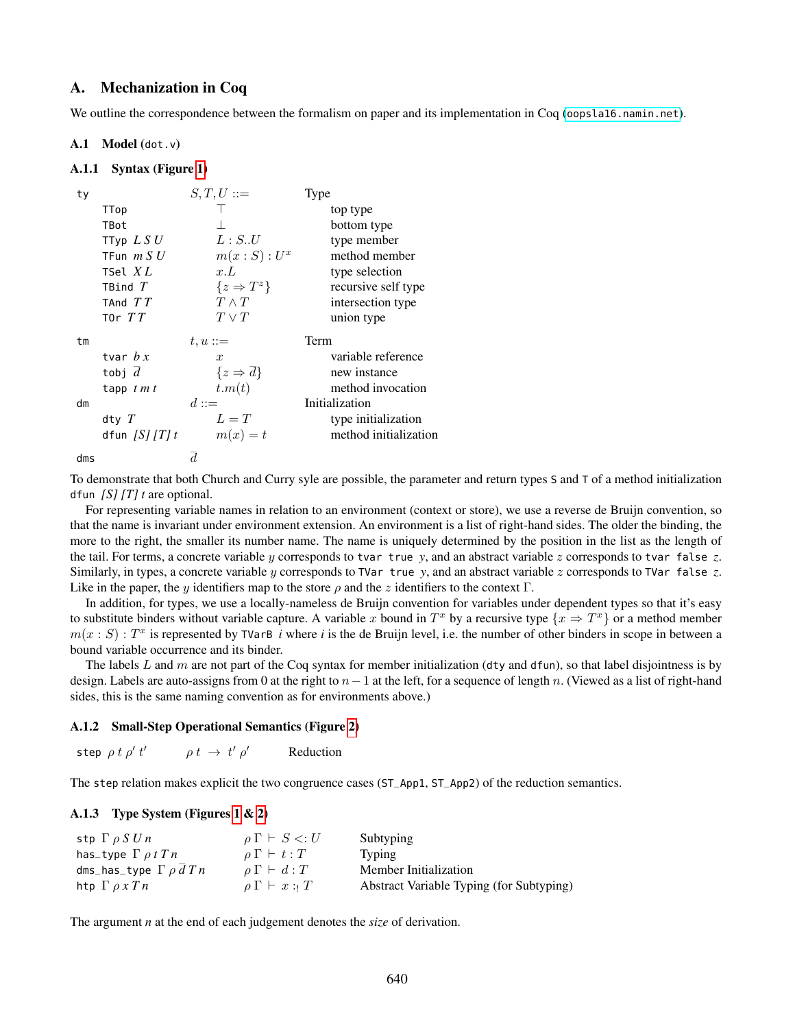# A. Mechanization in Coq

We outline the correspondence between the formalism on paper and its implementation in Coq (<oopsla16.namin.net>).

### A.1 Model (dot.v)

### A.1.1 Syntax (Figure [1\)](#page-4-0)

| ty  |                | $S,T,U ::=$      |                         | Type |                       |
|-----|----------------|------------------|-------------------------|------|-----------------------|
|     | TTop           |                  |                         |      | top type              |
|     | TBot           |                  |                         |      | bottom type           |
|     | TTyp $LS U$    |                  | L: S.U                  |      | type member           |
|     | TFun $m S U$   |                  | $m(x : S) : U^x$        |      | method member         |
|     | TSel $XL$      | x.L              |                         |      | type selection        |
|     | TBind $T$      |                  | $\{z \Rightarrow T^z\}$ |      | recursive self type   |
|     | TAnd $TT$      | $T \wedge T$     |                         |      | intersection type     |
|     | T0r $TT$       | $T \vee T$       |                         |      | union type            |
| tm  |                | $t, u ::=$       |                         | Term |                       |
|     | tvar $b x$     | $\boldsymbol{x}$ |                         |      | variable reference    |
|     | tobj $d$       |                  | $\{z \Rightarrow d\}$   |      | new instance          |
|     | tapp $t m t$   | t.m(t)           |                         |      | method invocation     |
| dm  |                | $d ::=$          |                         |      | Initialization        |
|     | dty $T$        | $L=T$            |                         |      | type initialization   |
|     | dfun $[S]/T/t$ |                  | $m(x) = t$              |      | method initialization |
| dms |                | d                |                         |      |                       |

To demonstrate that both Church and Curry syle are possible, the parameter and return types S and T of a method initialization dfun *[S] [T] t* are optional.

For representing variable names in relation to an environment (context or store), we use a reverse de Bruijn convention, so that the name is invariant under environment extension. An environment is a list of right-hand sides. The older the binding, the more to the right, the smaller its number name. The name is uniquely determined by the position in the list as the length of the tail. For terms, a concrete variable y corresponds to tvar true *y*, and an abstract variable z corresponds to tvar false *z*. Similarly, in types, a concrete variable y corresponds to TVar true *y*, and an abstract variable z corresponds to TVar false *z*. Like in the paper, the y identifiers map to the store  $\rho$  and the z identifiers to the context Γ.

In addition, for types, we use a locally-nameless de Bruijn convention for variables under dependent types so that it's easy to substitute binders without variable capture. A variable x bound in  $T^x$  by a recursive type  $\{x \Rightarrow T^x\}$  or a method member  $m(x : S) : T^x$  is represented by TVarB *i* where *i* is the de Bruijn level, i.e. the number of other binders in scope in between a bound variable occurrence and its binder.

The labels L and m are not part of the Coq syntax for member initialization (dty and dfun), so that label disjointness is by design. Labels are auto-assigns from 0 at the right to  $n-1$  at the left, for a sequence of length n. (Viewed as a list of right-hand sides, this is the same naming convention as for environments above.)

# A.1.2 Small-Step Operational Semantics (Figure [2\)](#page-8-1)

step  $\rho \ t \ \rho' \ t' \qquad \quad \rho \ t \ \rightarrow \ t' \ \rho$ **Reduction** 

The step relation makes explicit the two congruence cases (ST\_App1, ST\_App2) of the reduction semantics.

# A.1.3 Type System (Figures [1](#page-4-0) & [2\)](#page-8-1)

| stp $\Gamma$ $\rho$ $S$ $U$ $n$          | $\rho \Gamma \vdash S \lt: U$ | Subtyping                                |
|------------------------------------------|-------------------------------|------------------------------------------|
| has_type $\Gamma \rho t T n$             | $\rho \Gamma \vdash t : T$    | <b>Typing</b>                            |
| dms_has_type $\Gamma$ $\rho$ $d$ $T$ $n$ | $\rho \Gamma \vdash d : T$    | Member Initialization                    |
| htp $\Gamma \rho x T n$                  | $\rho \Gamma \vdash x :: T$   | Abstract Variable Typing (for Subtyping) |

The argument *n* at the end of each judgement denotes the *size* of derivation.